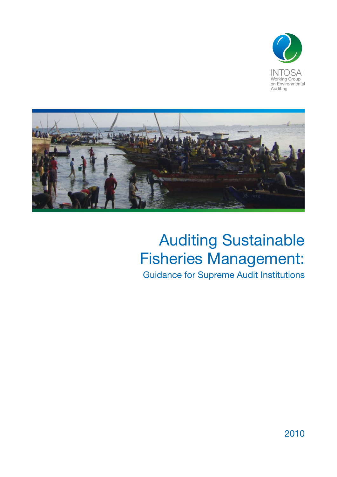



## Auditing Sustainable Fisheries Management:

Guidance for Supreme Audit Institutions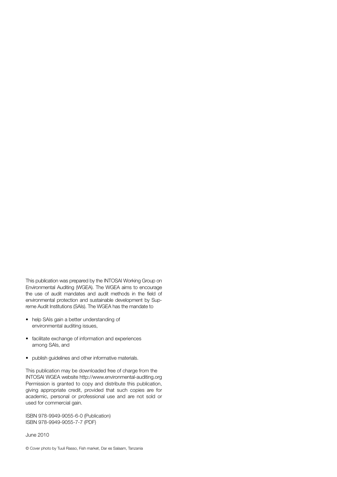This publication was prepared by the INTOSAI Working Group on Environmental Auditing (WGEA). The WGEA aims to encourage the use of audit mandates and audit methods in the field of environmental protection and sustainable development by Supreme Audit Institutions (SAIs). The WGEA has the mandate to

- help SAIs gain a better understanding of environmental auditing issues,
- facilitate exchange of information and experiences among SAIs, and
- • publish guidelines and other informative materials.

This publication may be downloaded free of charge from the INTOSAI WGEA website http://www.environmental-auditing.org Permission is granted to copy and distribute this publication, giving appropriate credit, provided that such copies are for academic, personal or professional use and are not sold or used for commercial gain.

ISBN 978-9949-9055-6-0 (Publication) ISBN 978-9949-9055-7-7 (PDF)

June 2010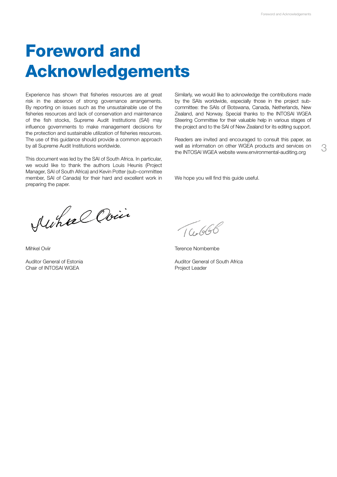# Foreword and Acknowledgements

Experience has shown that fisheries resources are at great risk in the absence of strong governance arrangements. By reporting on issues such as the unsustainable use of the fisheries resources and lack of conservation and maintenance of the fish stocks, Supreme Audit Institutions (SAI) may influence governments to make management decisions for the protection and sustainable utilization of fisheries resources. The use of this guidance should provide a common approach by all Supreme Audit Institutions worldwide.

This document was led by the SAI of South Africa. In particular, we would like to thank the authors Louis Heunis (Project Manager, SAI of South Africa) and Kevin Potter (sub–committee member, SAI of Canada) for their hard and excellent work in preparing the paper.

Similarly, we would like to acknowledge the contributions made by the SAIs worldwide, especially those in the project subcommittee: the SAIs of Botswana, Canada, Netherlands, New Zealand, and Norway. Special thanks to the INTOSAI WGEA Steering Committee for their valuable help in various stages of the project and to the SAI of New Zealand for its editing support.

Readers are invited and encouraged to consult this paper, as well as information on other WGEA products and services on the INTOSAI WGEA website www.environmental-auditing.org

We hope you will find this guide useful.

Auhael Ovin

Mihkel Oviir

Auditor General of Estonia Chair of INTOSAI WGEA

TG.666

Terence Nombembe

Auditor General of South Africa Project Leader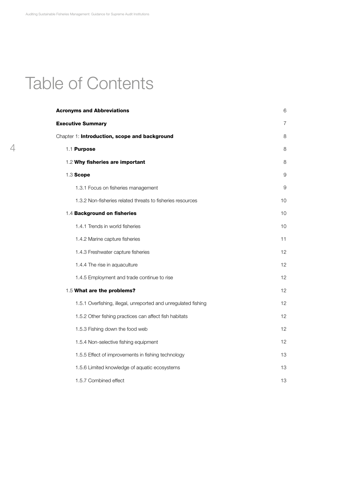## Table of Contents

| <b>Acronyms and Abbreviations</b>                              | 6               |
|----------------------------------------------------------------|-----------------|
| <b>Executive Summary</b>                                       | 7               |
| Chapter 1: Introduction, scope and background                  | 8               |
| 1.1 Purpose                                                    | 8               |
| 1.2 Why fisheries are important                                | 8               |
| 1.3 Scope                                                      | 9               |
| 1.3.1 Focus on fisheries management                            | 9               |
| 1.3.2 Non-fisheries related threats to fisheries resources     | 10              |
| 1.4 Background on fisheries                                    | 10              |
| 1.4.1 Trends in world fisheries                                | 10              |
| 1.4.2 Marine capture fisheries                                 | 11              |
| 1.4.3 Freshwater capture fisheries                             | 12              |
| 1.4.4 The rise in aquaculture                                  | 12              |
| 1.4.5 Employment and trade continue to rise                    | 12              |
| 1.5 What are the problems?                                     | 12              |
| 1.5.1 Overfishing, illegal, unreported and unregulated fishing | 12              |
| 1.5.2 Other fishing practices can affect fish habitats         | 12              |
| 1.5.3 Fishing down the food web                                | 12 <sup>2</sup> |
| 1.5.4 Non-selective fishing equipment                          | 12              |
| 1.5.5 Effect of improvements in fishing technology             | 13              |
| 1.5.6 Limited knowledge of aquatic ecosystems                  | 13              |
| 1.5.7 Combined effect                                          | 13              |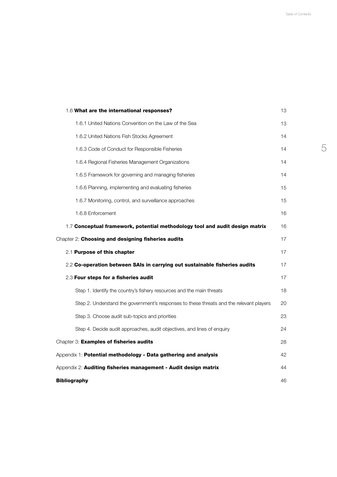| 1.6 What are the international responses?                                               | 13 |  |
|-----------------------------------------------------------------------------------------|----|--|
| 1.6.1 United Nations Convention on the Law of the Sea                                   | 13 |  |
| 1.6.2 United Nations Fish Stocks Agreement                                              | 14 |  |
| 1.6.3 Code of Conduct for Responsible Fisheries                                         | 14 |  |
| 1.6.4 Regional Fisheries Management Organizations                                       | 14 |  |
| 1.6.5 Framework for governing and managing fisheries                                    | 14 |  |
| 1.6.6 Planning, implementing and evaluating fisheries                                   | 15 |  |
| 1.6.7 Monitoring, control, and surveillance approaches                                  | 15 |  |
| 1.6.8 Enforcement                                                                       | 16 |  |
| 1.7 Conceptual framework, potential methodology tool and audit design matrix            | 16 |  |
| Chapter 2: Choosing and designing fisheries audits                                      | 17 |  |
| 2.1 Purpose of this chapter                                                             | 17 |  |
| 2.2 Co-operation between SAIs in carrying out sustainable fisheries audits              | 17 |  |
| 2.3 Four steps for a fisheries audit                                                    | 17 |  |
| Step 1. Identify the country's fishery resources and the main threats                   | 18 |  |
| Step 2. Understand the government's responses to these threats and the relevant players | 20 |  |
| Step 3. Choose audit sub-topics and priorities                                          | 23 |  |
| Step 4. Decide audit approaches, audit objectives, and lines of enquiry                 | 24 |  |
| Chapter 3: Examples of fisheries audits                                                 | 28 |  |
| Appendix 1: Potential methodology - Data gathering and analysis                         | 42 |  |
| Appendix 2: Auditing fisheries management - Audit design matrix                         |    |  |
| <b>Bibliography</b>                                                                     | 46 |  |
|                                                                                         |    |  |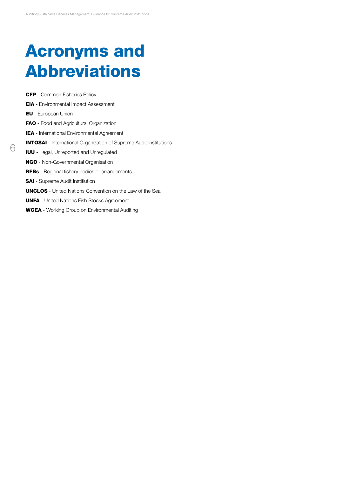# Acronyms and Abbreviations

CFP - Common Fisheries Policy EIA - Environmental Impact Assessment EU - European Union FAO - Food and Agricultural Organization IEA - International Environmental Agreement INTOSAI - International Organization of Supreme Audit Institutions IUU - Illegal, Unreported and Unregulated NGO - Non-Governmental Organisation RFBs - Regional fishery bodies or arrangements **SAI** - Supreme Audit Institiution UNCLOS - United Nations Convention on the Law of the Sea UNFA - United Nations Fish Stocks Agreement WGEA - Working Group on Environmental Auditing

6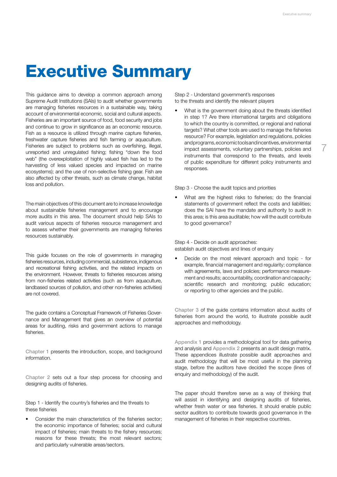7

## Executive Summary

This guidance aims to develop a common approach among Supreme Audit Institutions (SAIs) to audit whether governments are managing fisheries resources in a sustainable way, taking account of environmental economic, social and cultural aspects. Fisheries are an important source of food, food security and jobs and continue to grow in significance as an economic resource. Fish as a resource is utilized through marine capture fisheries, freshwater capture fisheries and fish farming or aquaculture. Fisheries are subject to problems such as overfishing, illegal, unreported and unregulated fishing; fishing "down the food web" (the overexploitation of highly valued fish has led to the harvesting of less valued species and impacted on marine ecosystems); and the use of non-selective fishing gear. Fish are also affected by other threats, such as climate change, habitat loss and pollution.

The main objectives of this document are to increase knowledge about sustainable fisheries management and to encourage more audits in this area. The document should help SAIs to audit various aspects of fisheries resource management and to assess whether their governments are managing fisheries resources sustainably.

This guide focuses on the role of governments in managing fisheries resources, including commercial, subsistence, indigenous and recreational fishing activities, and the related impacts on the environment. However, threats to fisheries resources arising from non-fisheries related activities (such as from aquaculture, landbased sources of pollution, and other non-fisheries activities) are not covered.

The guide contains a Conceptual Framework of Fisheries Governance and Management that gives an overview of potential areas for auditing, risks and government actions to manage fisheries.

Chapter 1 presents the introduction, scope, and background information.

Chapter 2 sets out a four step process for choosing and designing audits of fisheries.

Step 1 - Identify the country's fisheries and the threats to these fisheries

Consider the main characteristics of the fisheries sector: the economic importance of fisheries; social and cultural impact of fisheries; main threats to the fishery resources; reasons for these threats; the most relevant sectors; and particularly vulnerable areas/sectors.

Step 2 - Understand government's responses to the threats and identify the relevant players

What is the government doing about the threats identified in step 1? Are there international targets and obligations to which the country is committed, or regional and national targets? What other tools are used to manage the fisheries resource? For example, legislation and regulations, policies and programs, economic tools and incentives, environmental impact assessments, voluntary partnerships, policies and instruments that correspond to the threats, and levels of public expenditure for different policy instruments and responses.

Step 3 - Choose the audit topics and priorities

What are the highest risks to fisheries; do the financial statements of government reflect the costs and liabilities; does the SAI have the mandate and authority to audit in this area; is this area auditable; how will the audit contribute to good governance?

Step 4 - Decide on audit approaches: establish audit objectives and lines of enquiry

• Decide on the most relevant approach and topic - for example, financial management and regularity; compliance with agreements, laws and policies; performance measurement and results; accountability, coordination and capacity; scientific research and monitoring; public education; or reporting to other agencies and the public.

Chapter 3 of the guide contains information about audits of fisheries from around the world, to illustrate possible audit approaches and methodology.

Appendix 1 provides a methodological tool for data gathering and analysis and Appendix 2 presents an audit design matrix. These appendices illustrate possible audit approaches and audit methodology that will be most useful in the planning stage, before the auditors have decided the scope (lines of enquiry and methodology) of the audit.

The paper should therefore serve as a way of thinking that will assist in identifying and designing audits of fisheries, whether fresh water or sea fisheries. It should enable public sector auditors to contribute towards good governance in the management of fisheries in their respective countries.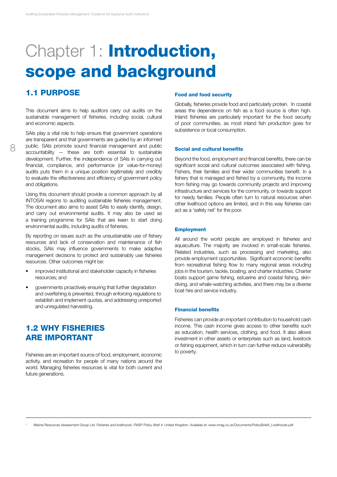# Chapter 1: Introduction, scope and background

## 1.1 Purpose

This document aims to help auditors carry out audits on the sustainable management of fisheries, including social, cultural and economic aspects.

SAIs play a vital role to help ensure that government operations are transparent and that governments are guided by an informed public. SAIs promote sound financial management and public accountability — these are both essential to sustainable development. Further, the independence of SAIs in carrying out financial, compliance, and performance (or value-for-money) audits puts them in a unique position legitimately and credibly to evaluate the effectiveness and efficiency of government policy and obligations.

Using this document should provide a common approach by all INTOSAI regions to auditing sustainable fisheries management. The document also aims to assist SAIs to easily identify, design, and carry out environmental audits. It may also be used as a training programme for SAIs that are keen to start doing environmental audits, including audits of fisheries.

By reporting on issues such as the unsustainable use of fishery resources and lack of conservation and maintenance of fish stocks, SAIs may influence governments to make adaptive management decisions to protect and sustainably use fisheries resources. Other outcomes might be:

- improved institutional and stakeholder capacity in fisheries resources; and
- governments proactively ensuring that further degradation and overfishing is prevented, through enforcing regulations to establish and implement quotas, and addressing unreported and unregulated harvesting.

## 1.2 Why fisheries are important

Fisheries are an important source of food, employment, economic activity, and recreation for people of many nations around the world. Managing fisheries resources is vital for both current and future generations.

#### Food and food security

Globally, fisheries provide food and particularly protein. In coastal areas the dependence on fish as a food source is often high. Inland fisheries are particularly important for the food security of poor communities, as most inland fish production goes for subsistence or local consumption.

#### Social and cultural benefits

Beyond the food, employment and financial benefits, there can be significant social and cultural outcomes associated with fishing. Fishers, their families and their wider communities benefit. In a fishery that is managed and fished by a community, the income from fishing may go towards community projects and improving infrastructure and services for the community, or towards support for needy families. People often turn to natural resources when other livelihood options are limited, and in this way fisheries can act as a 'safety net' for the poor.

#### Employment

All around the world people are employed in fisheries and aquaculture. The majority are involved in small-scale fisheries. Related industries, such as processing and marketing, also provide employment opportunities. Significant economic benefits from recreational fishing flow to many regional areas including jobs in the tourism, tackle, boating, and charter industries. Charter boats support game fishing, estuarine and coastal fishing, skindiving, and whale-watching activities, and there may be a diverse boat hire and service industry.

#### Financial benefits

Fisheries can provide an important contribution to household cash income. This cash income gives access to other benefits such as education, health services, clothing, and food. It also allows investment in other assets or enterprises such as land, livestock or fishing equipment, which in turn can further reduce vulnerability to poverty.

<sup>1</sup> Marine Resources Assessment Group Ltd. *Fisheries and livelihoods. FMSP Policy Brief 4.* United Kingdom. Available at: www.mrag.co.uk/Documents/PolicyBrief4\_Livelihoods.pdf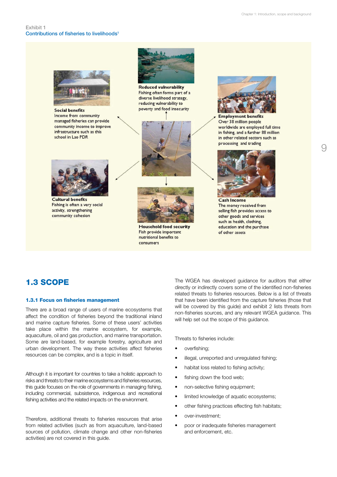$\Omega$ 



Income from community managed fisheries can provide community income to improve infrastructure such as this school in Lao PDR



**Reduced vulnerability** Fishing often forms part of a diverse livelihood strategy, reducing vulnerability to poverty and food insecurity





**Employment benefits** Over 38 million people worldwide are employed full time in fishing, and a further 88 million in other related sectors such as processing and trading



**Cultural benefits** Fishing is often a very social activity, strengthening community cohesion



**Household food security** Fish provide important nutritional benefits to consumers

**Cash Income** The money received from selling fish provides access to other goods and services such as health, clothing. education and the purchase of other assets

## 1.3 Scope

#### 1.3.1 Focus on fisheries management

There are a broad range of users of marine ecosystems that affect the condition of fisheries beyond the traditional inland and marine capture fisheries. Some of these users' activities take place within the marine ecosystem, for example, aquaculture, oil and gas production, and marine transportation. Some are land-based, for example forestry, agriculture and urban development. The way these activities affect fisheries resources can be complex, and is a topic in itself.

Although it is important for countries to take a holistic approach to risks and threats to their marine ecosystems and fisheries resources, this guide focuses on the role of governments in managing fishing, including commercial, subsistence, indigenous and recreational fishing activities and the related impacts on the environment.

Therefore, additional threats to fisheries resources that arise from related activities (such as from aquaculture, land-based sources of pollution, climate change and other non-fisheries activities) are not covered in this guide.

The WGEA has developed guidance for auditors that either directly or indirectly covers some of the identified non-fisheries related threats to fisheries resources. Below is a list of threats that have been identified from the capture fisheries (those that will be covered by this guide) and exhibit 2 lists threats from non-fisheries sources, and any relevant WGEA guidance. This will help set out the scope of this guidance.

Threats to fisheries include:

- overfishing:
- illegal, unreported and unregulated fishing;
- habitat loss related to fishing activity;
- fishing down the food web:
- non-selective fishing equipment;
- limited knowledge of aquatic ecosystems;
- other fishing practices effecting fish habitats;
- over-investment;
- poor or inadequate fisheries management and enforcement, etc.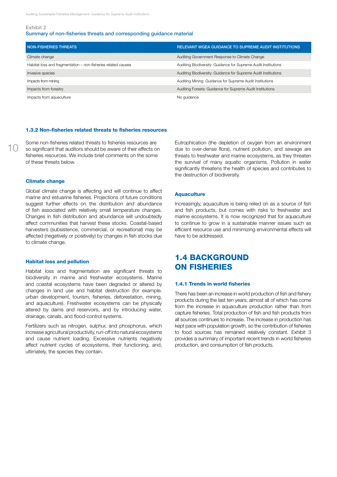#### Summary of non-fisheries threats and corresponding guidance material

| NON-FISHERIES THREATS                                         | RELEVANT WGEA GUIDANCE TO SUPREME AUDIT INSTITUTIONS           |
|---------------------------------------------------------------|----------------------------------------------------------------|
| Climate change                                                | Auditing Government Response to Climate Change                 |
| Habitat loss and fragmentation - non-fisheries related causes | Auditing Biodiversity: Guidance for Supreme Audit Institutions |
| Invasive species                                              | Auditing Biodiversity: Guidance for Supreme Audit Institutions |
| Impacts from mining                                           | Auditing Mining: Guidance for Supreme Audit Institutions       |
| Impacts from forestry                                         | Auditing Forests: Guidance for Supreme Audit Institutions      |
| Impacts from aquaculture                                      | No guidance                                                    |

#### 1.3.2 Non-fisheries related threats to fisheries resources

Some non-fisheries related threats to fisheries resources are so significant that auditors should be aware of their effects on fisheries resources. We include brief comments on the some of these threats below.

#### Climate change

10

Global climate change is affecting and will continue to affect marine and estuarine fisheries. Projections of future conditions suggest further effects on the distribution and abundance of fish associated with relatively small temperature changes. Changes in fish distribution and abundance will undoubtedly affect communities that harvest these stocks. Coastal-based harvesters (subsistence, commercial, or recreational) may be affected (negatively or positively) by changes in fish stocks due to climate change.

#### Habitat loss and pollution

Habitat loss and fragmentation are significant threats to biodiversity in marine and freshwater ecosystems. Marine and coastal ecosystems have been degraded or altered by changes in land use and habitat destruction (for example. urban development, tourism, fisheries, deforestation, mining, and aquaculture). Freshwater ecosystems can be physically altered by dams and reservoirs, and by introducing water, drainage, canals, and flood-control systems.

Fertilizers such as nitrogen, sulphur, and phosphorus, which increase agricultural productivity, run-off into natural ecosystems and cause nutrient loading. Excessive nutrients negatively affect nutrient cycles of ecosystems, their functioning, and, ultimately, the species they contain.

Eutrophication (the depletion of oxygen from an environment due to over-dense flora), nutrient pollution, and sewage are threats to freshwater and marine ecosystems, as they threaten the survival of many aquatic organisms. Pollution in water significantly threatens the health of species and contributes to the destruction of biodiversity.

#### **Aquaculture**

Increasingly, aquaculture is being relied on as a source of fish and fish products, but comes with risks to freshwater and marine ecosystems. It is now recognized that for aquaculture to continue to grow in a sustainable manner issues such as efficient resource use and minimizing environmental effects will have to be addressed.

## 1.4 Background on fisheries

#### 1.4.1 Trends in world fisheries

There has been an increase in world production of fish and fishery products during the last ten years, almost all of which has come from the increase in aquaculture production rather than from capture fisheries. Total production of fish and fish products from all sources continues to increase. The increase in production has kept pace with population growth, so the contribution of fisheries to food sources has remained relatively constant. Exhibit 3 provides a summary of important recent trends in world fisheries production, and consumption of fish products.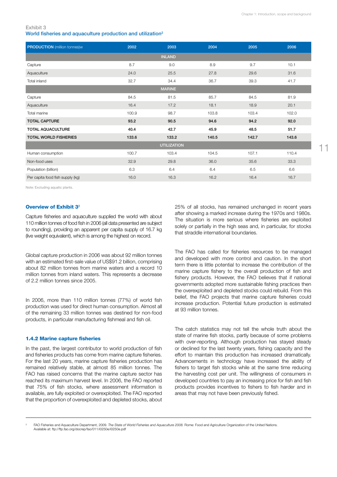#### Exhibit 3 World fisheries and aquaculture production and utilization<sup>2</sup>

| <b>PRODUCTION</b> (million tonnes)w | 2002  | 2003               | 2004  | 2005  | 2006  |
|-------------------------------------|-------|--------------------|-------|-------|-------|
|                                     |       | <b>INLAND</b>      |       |       |       |
| Capture                             | 8.7   | 9.0                | 8.9   | 9.7   | 10.1  |
| Aquaculture                         | 24.0  | 25.5               | 27.8  | 29.6  | 31.6  |
| Total inland                        | 32.7  | 34.4               | 36.7  | 39.3  | 41.7  |
|                                     |       | <b>MARINE</b>      |       |       |       |
| Capture                             | 84.5  | 81.5               | 85.7  | 84.5  | 81.9  |
| Aquaculture                         | 16.4  | 17.2               | 18.1  | 18.9  | 20.1  |
| Total marine                        | 100.9 | 98.7               | 103.8 | 103.4 | 102.0 |
| <b>TOTAL CAPTURE</b>                | 93.2  | 90.5               | 94.6  | 94.2  | 92.0  |
| <b>TOTAL AQUACULTURE</b>            | 40.4  | 42.7               | 45.9  | 48.5  | 51.7  |
| <b>TOTAL WORLD FISHERIES</b>        | 133.6 | 133.2              | 140.5 | 142.7 | 143.6 |
|                                     |       | <b>UTILIZATION</b> |       |       |       |
| Human consumption                   | 100.7 | 103.4              | 104.5 | 107.1 | 110.4 |
| Non-food uses                       | 32.9  | 29.8               | 36.0  | 35.6  | 33.3  |
| Population (billion)                | 6.3   | 6.4                | 6.4   | 6.5   | 6.6   |
| Per capita food fish supply (kg)    | 16.0  | 16.3               | 16.2  | 16.4  | 16.7  |

Note: Excluding aquatic plants.

#### Overview of Exhibit 3<sup>2</sup>

Capture fisheries and aquaculture supplied the world with about 110 million tonnes of food fish in 2006 (all data presented are subject to rounding), providing an apparent per capita supply of 16.7 kg (live weight equivalent), which is among the highest on record.

Global capture production in 2006 was about 92 million tonnes with an estimated first-sale value of US\$91.2 billion, comprising about 82 million tonnes from marine waters and a record 10 million tonnes from inland waters. This represents a decrease of 2.2 million tonnes since 2005.

In 2006, more than 110 million tonnes (77%) of world fish production was used for direct human consumption. Almost all of the remaining 33 million tonnes was destined for non-food products, in particular manufacturing fishmeal and fish oil.

#### 1.4.2 Marine capture fisheries

In the past, the largest contributor to world production of fish and fisheries products has come from marine capture fisheries. For the last 20 years, marine capture fisheries production has remained relatively stable, at almost 85 million tonnes. The FAO has raised concerns that the marine capture sector has reached its maximum harvest level. In 2006, the FAO reported that 75% of fish stocks, where assessment information is available, are fully exploited or overexploited. The FAO reported that the proportion of overexploited and depleted stocks, about 25% of all stocks, has remained unchanged in recent years after showing a marked increase during the 1970s and 1980s. The situation is more serious where fisheries are exploited solely or partially in the high seas and, in particular, for stocks that straddle international boundaries.

The FAO has called for fisheries resources to be managed and developed with more control and caution. In the short term there is little potential to increase the contribution of the marine capture fishery to the overall production of fish and fishery products. However, the FAO believes that if national governments adopted more sustainable fishing practices then the overexploited and depleted stocks could rebuild. From this belief, the FAO projects that marine capture fisheries could increase production. Potential future production is estimated at 93 million tonnes.

The catch statistics may not tell the whole truth about the state of marine fish stocks, partly because of some problems with over-reporting. Although production has stayed steady or declined for the last twenty years, fishing capacity and the effort to maintain this production has increased dramatically. Advancements in technology have increased the ability of fishers to target fish stocks while at the same time reducing the harvesting cost per unit. The willingness of consumers in developed countries to pay an increasing price for fish and fish products provides incentives to fishers to fish harder and in areas that may not have been previously fished.

<sup>2</sup> FAO Fisheries and Aquaculture Department, 2009. *The State of World Fisheries and Aquaculture 2008.* Rome: Food and Agriculture Organization of the United Nations. Available at: ftp://ftp.fao.org/docrep/fao/011/i0250e/i0250e.pdf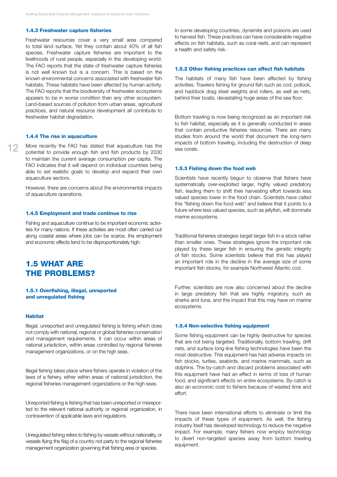#### 1.4.3 Freshwater capture fisheries

Freshwater resources cover a very small area compared to total land surface. Yet they contain about 40% of all fish species. Freshwater capture fisheries are important to the livelihoods of rural people, especially in the developing world. The FAO reports that the state of freshwater capture fisheries is not well known but is a concern. This is based on the known environmental concerns associated with freshwater fish habitats. These habitats have been affected by human activity. The FAO reports that the biodiversity of freshwater ecosystems appears to be in worse condition than any other ecosystem. Land-based sources of pollution from urban areas, agricultural practices, and natural resource development all contribute to freshwater habitat degradation.

#### 1.4.4 The rise in aquaculture

12 More recently the FAO has stated that aquaculture has the potential to provide enough fish and fish products by 2030 to maintain the current average consumption per capita. The FAO indicates that it will depend on individual countries being able to set realistic goals to develop and expand their own aquaculture sectors.

> However, there are concerns about the environmental impacts of aquaculture operations.

#### 1.4.5 Employment and trade continue to rise

Fishing and aquaculture continue to be important economic activities for many nations. If these activities are most often carried out along coastal areas where jobs can be scarce, the employment and economic effects tend to be disproportionately high.

## 1.5 What are the problems?

#### 1.5.1 Overfishing, illegal, unreported and unregulated fishing

#### **Habitat**

Illegal, unreported and unregulated fishing is fishing which does not comply with national, regional or global fisheries conservation and management requirements. It can occur within areas of national jurisdiction, within areas controlled by regional fisheries management organizations, or on the high seas.

Illegal fishing takes place where fishers operate in violation of the laws of a fishery, either within areas of national jurisdiction, the regional fisheries management organizations or the high seas.

Unreported fishing is fishing that has been unreported or misreported to the relevant national authority or regional organization, in contravention of applicable laws and regulations.

Unregulated fishing refers to fishing by vessels without nationality, or vessels flying the flag of a country not party to the regional fisheries management organization governing that fishing area or species.

In some developing countries, dynamite and poisons are used to harvest fish. These practices can have considerable negative effects on fish habitats, such as coral reefs, and can represent a health and safety risk.

#### 1.5.2 Other fishing practices can affect fish habitats

The habitats of many fish have been affected by fishing activities. Trawlers fishing for ground fish such as cod, pollock, and haddock drag steel weights and rollers, as well as nets, behind their boats, devastating huge areas of the sea floor.

Bottom trawling is now being recognized as an important risk to fish habitat, especially as it is generally conducted in areas that contain productive fisheries resources. There are many studies from around the world that document the long-term impacts of bottom trawling, including the destruction of deep sea corals.

#### 1.5.3 Fishing down the food web

Scientists have recently begun to observe that fishers have systematically over-exploited larger, highly valued predatory fish, leading them to shift their harvesting effort towards less valued species lower in the food chain. Scientists have called this "fishing down the food web" and believe that it points to a future where less valued species, such as jellyfish, will dominate marine ecosystems.

Traditional fisheries strategies target larger fish in a stock rather than smaller ones. These strategies ignore the important role played by these larger fish in ensuring the genetic integrity of fish stocks. Some scientists believe that this has played an important role in the decline in the average size of some important fish stocks, for example Northwest Atlantic cod.

Further, scientists are now also concerned about the decline in large predatory fish that are highly migratory, such as sharks and tuna, and the impact that this may have on marine ecosystems.

#### 1.5.4 Non-selective fishing equipment

Some fishing equipment can be highly destructive for species that are not being targeted. Traditionally, bottom trawling, drift nets, and surface long-line fishing technologies have been the most destructive. This equipment has had adverse impacts on fish stocks, turtles, seabirds, and marine mammals, such as dolphins. The by-catch and discard problems associated with this equipment have had an effect in terms of loss of human food, and significant effects on entire ecosystems. By-catch is also an economic cost to fishers because of wasted time and effort.

There have been international efforts to eliminate or limit the impacts of these types of equipment. As well, the fishing industry itself has developed technology to reduce the negative impact. For example, many fishers now employ technology to divert non-targeted species away from bottom trawling equipment.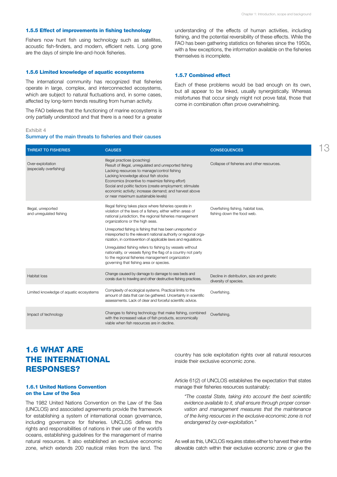#### 1.5.5 Effect of improvements in fishing technology

Fishers now hunt fish using technology such as satellites, acoustic fish-finders, and modern, efficient nets. Long gone are the days of simple line-and-hook fisheries.

#### 1.5.6 Limited knowledge of aquatic ecosystems

The international community has recognized that fisheries operate in large, complex, and interconnected ecosystems, which are subject to natural fluctuations and, in some cases, affected by long-term trends resulting from human activity.

The FAO believes that the functioning of marine ecosystems is only partially understood and that there is a need for a greater understanding of the effects of human activities, including fishing, and the potential reversibility of these effects. While the FAO has been gathering statistics on fisheries since the 1950s, with a few exceptions, the information available on the fisheries themselves is incomplete.

#### 1.5.7 Combined effect

Each of these problems would be bad enough on its own, but all appear to be linked, usually synergistically. Whereas misfortunes that occur singly might not prove fatal, those that come in combination often prove overwhelming.

#### Exhibit 4

#### Summary of the main threats to fisheries and their causes

| <b>THREAT TO FISHERIES</b>                     | <b>CAUSES</b>                                                                                                                                                                                                                                                                                                                                                                               | <b>CONSEQUENCES</b>                                                |
|------------------------------------------------|---------------------------------------------------------------------------------------------------------------------------------------------------------------------------------------------------------------------------------------------------------------------------------------------------------------------------------------------------------------------------------------------|--------------------------------------------------------------------|
| Over-exploitation<br>(especially overfishing)  | Illegal practices (poaching)<br>Result of illegal, unregulated and unreported fishing<br>Lacking resources to manage/control fishing<br>Lacking knowledge about fish stocks<br>Economics (incentive to maximize fishing effort)<br>Social and politic factors (create employment; stimulate<br>economic activity; increase demand; and harvest above<br>or near maximum sustainable levels) | Collapse of fisheries and other resources.                         |
| Illegal, unreported<br>and unregulated fishing | Illegal fishing takes place where fisheries operate in<br>violation of the laws of a fishery, either within areas of<br>national jurisdiction, the regional fisheries management<br>organizations or the high seas.                                                                                                                                                                         | Overfishing fishing, habitat loss,<br>fishing down the food web.   |
|                                                | Unreported fishing is fishing that has been unreported or<br>misreported to the relevant national authority or regional orga-<br>nization, in contravention of applicable laws and regulations.                                                                                                                                                                                             |                                                                    |
|                                                | Unregulated fishing refers to fishing by vessels without<br>nationality, or vessels flying the flag of a country not party<br>to the regional fisheries management organization<br>governing that fishing area or species.                                                                                                                                                                  |                                                                    |
| <b>Habitat loss</b>                            | Change caused by damage to damage to sea beds and<br>corals due to trawling and other destructive fishing practices.                                                                                                                                                                                                                                                                        | Decline in distribution, size and genetic<br>diversity of species. |
| Limited knowledge of aquatic ecosystems        | Complexity of ecological systems. Practical limits to the<br>amount of data that can be gathered. Uncertainty in scientific<br>assessments. Lack of clear and forceful scientific advice.                                                                                                                                                                                                   | Overfishing.                                                       |
| Impact of technology                           | Changes to fishing technology that make fishing, combined<br>with the increased value of fish products, economically<br>viable when fish resources are in decline.                                                                                                                                                                                                                          | Overfishing.                                                       |

## 1.6 What are the international responses?

#### 1.6.1 United Nations Convention on the Law of the Sea

The 1982 United Nations Convention on the Law of the Sea (UNCLOS) and associated agreements provide the framework for establishing a system of international ocean governance, including governance for fisheries. UNCLOS defines the rights and responsibilities of nations in their use of the world's oceans, establishing guidelines for the management of marine natural resources. It also established an exclusive economic zone, which extends 200 nautical miles from the land. The country has sole exploitation rights over all natural resources inside their exclusive economic zone.

Article 61(2) of UNCLOS establishes the expectation that states manage their fisheries resources sustainably:

*"The coastal State, taking into account the best scientific evidence available to it, shall ensure through proper conservation and management measures that the maintenance of the living resources in the exclusive economic zone is not endangered by over-exploitation."*

As well as this, UNCLOS requires states either to harvest their entire allowable catch within their exclusive economic zone or give the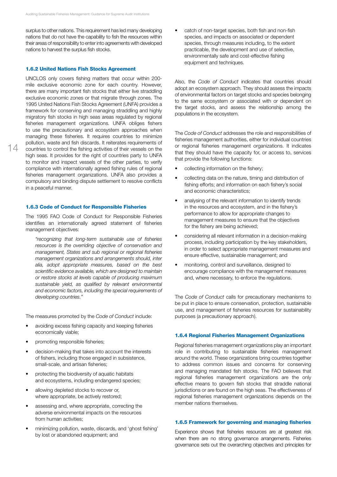surplus to other nations. This requirement has led many developing nations that do not have the capability to fish the resources within their areas of responsibility to enter into agreements with developed nations to harvest the surplus fish stocks.

#### 1.6.2 United Nations Fish Stocks Agreement

14

UNCLOS only covers fishing matters that occur within 200 mile exclusive economic zone for each country. However, there are many important fish stocks that either live straddling exclusive economic zones or that migrate through zones. The 1995 United Nations Fish Stocks Agreement (UNFA) provides a framework for conserving and managing straddling and highly migratory fish stocks in high seas areas regulated by regional fisheries management organizations. UNFA obliges fishers to use the precautionary and ecosystem approaches when managing these fisheries. It requires countries to minimize pollution, waste and fish discards. It reiterates requirements of countries to control the fishing activities of their vessels on the high seas. It provides for the right of countries party to UNFA to monitor and inspect vessels of the other parties, to verify compliance with internationally agreed fishing rules of regional fisheries management organizations. UNFA also provides a compulsory and binding dispute settlement to resolve conflicts in a peaceful manner.

#### 1.6.3 Code of Conduct for Responsible Fisheries

The 1995 FAO Code of Conduct for Responsible Fisheries identifies an internationally agreed statement of fisheries management objectives:

*"recognizing that long-term sustainable use of fisheries resources is the overriding objective of conservation and management, States and sub regional or regional fisheries management organizations and arrangements should, inter alia, adopt appropriate measures, based on the best scientific evidence available, which are designed to maintain or restore stocks at levels capable of producing maximum sustainable yield, as qualified by relevant environmental and economic factors, including the special requirements of developing countries."*

The measures promoted by the *Code of Conduct* include:

- avoiding excess fishing capacity and keeping fisheries economically viable;
- promoting responsible fisheries;
- decision-making that takes into account the interests of fishers, including those engaged in subsistence, small-scale, and artisan fisheries;
- protecting the biodiversity of aquatic habitats and ecosystems, including endangered species;
- allowing depleted stocks to recover or, where appropriate, be actively restored;
- assessing and, where appropriate, correcting the adverse environmental impacts on the resources from human activities;
- minimizing pollution, waste, discards, and 'ghost fishing' by lost or abandoned equipment; and

catch of non-target species, both fish and non-fish species, and impacts on associated or dependent species, through measures including, to the extent practicable, the development and use of selective, environmentally safe and cost-effective fishing equipment and techniques.

Also, the *Code of Conduct* indicates that countries should adopt an ecosystem approach. They should assess the impacts of environmental factors on target stocks and species belonging to the same ecosystem or associated with or dependent on the target stocks, and assess the relationship among the populations in the ecosystem.

The *Code of Conduct* addresses the role and responsibilities of fisheries management authorities, either for individual countries or regional fisheries management organizations. It indicates that they should have the capacity for, or access to, services that provide the following functions:

- collecting information on the fishery;
- collecting data on the nature, timing and distribution of fishing efforts; and information on each fishery's social and economic characteristics;
- analysing of the relevant information to identify trends in the resources and ecosystem, and in the fishery's performance to allow for appropriate changes to management measures to ensure that the objectives for the fishery are being achieved;
- considering all relevant information in a decision-making process, including participation by the key stakeholders, in order to select appropriate management measures and ensure effective, sustainable management; and
- monitoring, control and surveillance, designed to encourage compliance with the management measures and, where necessary, to enforce the regulations.

The *Code of Conduct* calls for precautionary mechanisms to be put in place to ensure conservation, protection, sustainable use, and management of fisheries resources for sustainability purposes (a precautionary approach).

#### 1.6.4 Regional Fisheries Management Organizations

Regional fisheries management organizations play an important role in contributing to sustainable fisheries management around the world. These organizations bring countries together to address common issues and concerns for conserving and managing mandated fish stocks. The FAO believes that regional fisheries management organizations are the only effective means to govern fish stocks that straddle national jurisdictions or are found on the high seas. The effectiveness of regional fisheries management organizations depends on the member nations themselves.

#### 1.6.5 Framework for governing and managing fisheries

Experience shows that fisheries resources are at greatest risk when there are no strong governance arrangements. Fisheries governance sets out the overarching objectives and principles for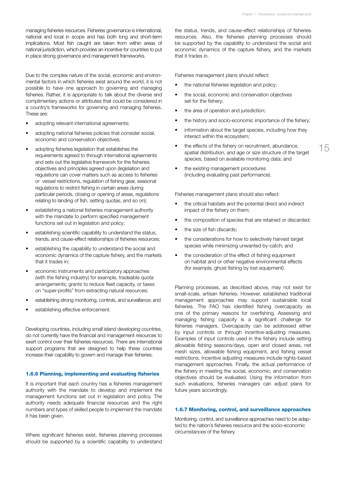managing fisheries resources. Fisheries governance is international, national and local in scope and has both long and short-term implications. Most fish caught are taken from within areas of national jurisdiction, which provides an incentive for countries to put in place strong governance and management frameworks.

Due to the complex nature of the social, economic and environmental factors in which fisheries exist around the world, it is not possible to have one approach to governing and managing fisheries. Rather, it is appropriate to talk about the diverse and complimentary actions or attributes that could be considered in a country's frameworks for governing and managing fisheries. These are:

- adopting relevant international agreements;
- adopting national fisheries policies that consider social, economic and conservation objectives;
- adopting fisheries legislation that establishes the requirements agreed to through international agreements and sets out the legislative framework for the fisheries objectives and principles agreed upon (legislation and regulations can cover matters such as access to fisheries or vessel restrictions, regulation of fishing gear, seasonal regulations to restrict fishing in certain areas during particular periods, closing or opening of areas, regulations relating to landing of fish, setting quotas, and so on);
- establishing a national fisheries management authority with the mandate to perform specified management functions set out in legislation and policy;
- • establishing scientific capability to understand the status, trends, and cause-effect relationships of fisheries resources;
- establishing the capability to understand the social and economic dynamics of the capture fishery, and the markets that it trades in;
- • economic instruments and participatory approaches (with the fishing industry) for example, tradeable quota arrangements; grants to reduce fleet capacity, or taxes on "super-profits" from extracting natural resources;
- establishing strong monitoring, controls, and surveillance; and
- establishing effective enforcement.

Developing countries, including small island developing countries, do not currently have the financial and management resources to exert control over their fisheries resources. There are international support programs that are designed to help these countries increase their capability to govern and manage their fisheries.

#### 1.6.6 Planning, implementing and evaluating fisheries

It is important that each country has a fisheries management authority with the mandate to develop and implement the management functions set out in legislation and policy. The authority needs adequate financial resources and the right numbers and types of skilled people to implement the mandate it has been given.

Where significant fisheries exist, fisheries planning processes should be supported by a scientific capability to understand the status, trends, and cause-effect relationships of fisheries resources. Also, the fisheries planning processes should be supported by the capability to understand the social and economic dynamics of the capture fishery, and the markets that it trades in.

Fisheries management plans should reflect:

- the national fisheries legislation and policy;
- the social, economic and conservation objectives set for the fishery;
- the area of operation and jurisdiction;
- the history and socio-economic importance of the fishery;
- information about the target species, including how they interact within the ecosystem;
- the effects of the fishery on recruitment, abundance, spatial distribution, and age or size structure of the target species, based on available monitoring data; and
- the existing management procedures (including evaluating past performance).

Fisheries management plans should also reflect:

- the critical habitats and the potential direct and indirect impact of the fishery on them;
- the composition of species that are retained or discarded;
- the size of fish discards;
- the considerations for how to selectively harvest target species while minimizing unwanted by-catch; and
- the consideration of the effect of fishing equipment on habitat and or other negative environmental effects (for example, ghost fishing by lost equipment).

Planning processes, as described above, may not exist for small-scale, artisan fisheries. However, established traditional management approaches may support sustainable local fisheries. The FAO has identified fishing overcapacity as one of the primary reasons for overfishing. Assessing and managing fishing capacity is a significant challenge for fisheries managers. Overcapacity can be addressed either by input controls or through incentive-adjusting measures. Examples of input controls used in the fishery include setting allowable fishing seasons/days, open and closed areas, net mesh sizes, allowable fishing equipment, and fishing vessel restrictions. Incentive adjusting measures include rights-based management approaches. Finally, the actual performance of the fishery in meeting the social, economic, and conservation objectives should be evaluated. Using the information from such evaluations, fisheries managers can adjust plans for future years accordingly.

#### 1.6.7 Monitoring, control, and surveillance approaches

Monitoring, control, and surveillance approaches need to be adapted to the nation's fisheries resource and the socio-economic circumstances of the fishery.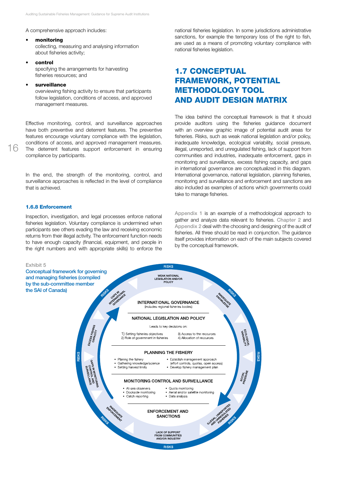A comprehensive approach includes:

#### **monitoring**

collecting, measuring and analysing information about fisheries activity;

#### **control**

specifying the arrangements for harvesting fisheries resources; and

#### surveillance

overviewing fishing activity to ensure that participants follow legislation, conditions of access, and approved management measures.

Effective monitoring, control, and surveillance approaches have both preventive and deterrent features. The preventive features encourage voluntary compliance with the legislation, conditions of access, and approved management measures. The deterrent features support enforcement in ensuring compliance by participants.

In the end, the strength of the monitoring, control, and surveillance approaches is reflected in the level of compliance that is achieved.

#### 1.6.8 Enforcement

Inspection, investigation, and legal processes enforce national fisheries legislation. Voluntary compliance is undermined when participants see others evading the law and receiving economic returns from their illegal activity. The enforcement function needs to have enough capacity (financial, equipment, and people in the right numbers and with appropriate skills) to enforce the national fisheries legislation. In some jurisdictions administrative sanctions, for example the temporary loss of the right to fish, are used as a means of promoting voluntary compliance with national fisheries legislation.

## 1.7 Conceptual framework, potential methodology tool and audit design matrix

The idea behind the conceptual framework is that it should provide auditors using the fisheries guidance document with an overview graphic image of potential audit areas for fisheries. Risks, such as weak national legislation and/or policy, inadequate knowledge, ecological variability, social pressure, illegal, unreported, and unregulated fishing, lack of support from communities and industries, inadequate enforcement, gaps in monitoring and surveillance, excess fishing capacity, and gaps in international governance are conceptualized in this diagram. International governance, national legislation, planning fisheries, monitoring and surveillance and enforcement and sanctions are also included as examples of actions which governments could take to manage fisheries.

Appendix 1 is an example of a methodological approach to gather and analyze data relevant to fisheries. Chapter 2 and Appendix 2 deal with the choosing and designing of the audit of fisheries. All three should be read in conjunction. The guidance itself provides information on each of the main subjects covered by the conceptual framework.

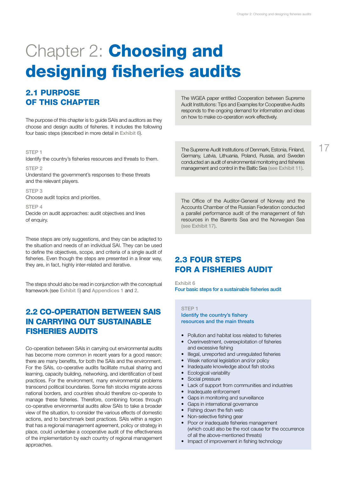# **Chapter 2: Choosing and** designing fisheries audits

## 2.1 Purpose of this chapter

The purpose of this chapter is to guide SAIs and auditors as they choose and design audits of fisheries. It includes the following four basic steps (described in more detail in Exhibit 6).

#### STFP<sub>1</sub>

Identify the country's fisheries resources and threats to them.

STEP<sub>2</sub> Understand the government's responses to these threats and the relevant players.

STEP 3 Choose audit topics and priorities.

STEP<sub>4</sub> Decide on audit approaches: audit objectives and lines of enquiry.

These steps are only suggestions, and they can be adapted to the situation and needs of an individual SAI. They can be used to define the objectives, scope, and criteria of a single audit of fisheries. Even though the steps are presented in a linear way, they are, in fact, highly inter-related and iterative.

The steps should also be read in conjunction with the conceptual framework (see Exhibit 5) and Appendices 1 and 2.

## 2.2 Co-operation between SAIs in carrying out sustainable fisheries audits

Co-operation between SAIs in carrying out environmental audits has become more common in recent years for a good reason: there are many benefits, for both the SAIs and the environment. For the SAIs, co-operative audits facilitate mutual sharing and learning, capacity building, networking, and identification of best practices. For the environment, many environmental problems transcend political boundaries. Some fish stocks migrate across national borders, and countries should therefore co-operate to manage these fisheries. Therefore, combining forces through co-operative environmental audits allow SAIs to take a broader view of the situation, to consider the various effects of domestic actions, and to benchmark best practices. SAIs within a region that has a regional management agreement, policy or strategy in place, could undertake a cooperative audit of the effectiveness of the implementation by each country of regional management approaches.

The WGEA paper entitled Cooperation between Supreme Audit Institutions: Tips and Examples for Cooperative Audits responds to the ongoing demand for information and ideas on how to make co-operation work effectively.

The Supreme Audit Institutions of Denmark, Estonia, Finland, Germany, Latvia, Lithuania, Poland, Russia, and Sweden conducted an audit of environmental monitoring and fisheries management and control in the Baltic Sea (see Exhibit 11).

The Office of the Auditor-General of Norway and the Accounts Chamber of the Russian Federation conducted a parallel performance audit of the management of fish resources in the Barents Sea and the Norwegian Sea (see Exhibit 17).

## 2.3 Four steps for a fisheries audit

Exhibit 6 Four basic steps for a sustainable fisheries audit

#### STEP<sub>1</sub>

Identify the country's fishery resources and the main threats

- Pollution and habitat loss related to fisheries
- • Overinvestment, overexploitation of fisheries and excessive fishing
- Illegal, unreported and unregulated fisheries
- Weak national legislation and/or policy
- Inadequate knowledge about fish stocks
- Ecological variability
- Social pressure
- Lack of support from communities and industries
- Inadequate enforcement
- Gaps in monitoring and surveillance
- Gaps in international governance
- Fishing down the fish web
- Non-selective fishing gear
- Poor or inadequate fisheries management (which could also be the root cause for the occurrence of all the above-mentioned threats)
- Impact of improvement in fishing technology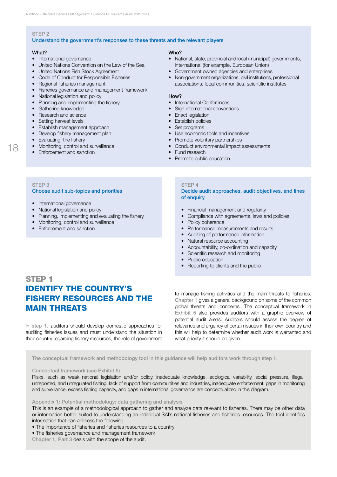#### STEP<sub>2</sub>

#### Understand the government's responses to these threats and the relevant players

18

- 
- 
- 
- 
- 
- • Fisheries governance and management framework
- National legislation and policy **How?**
- Planning and implementing the fishery International Conferences
- 
- Research and science
- Setting harvest levels Setting harvest levels
- Establish management approach Set programs
- Develop fishery management plan **•** Use economic tools and incentives
- 
- 
- Enforcement and sanction **•** Fund research

#### What? Who?

- International governance *National, state, provincial and local (municipal) governments,* • United Nations Convention on the Law of the Sea **international** (for example, European Union)
- United Nations Fish Stock Agreement Government owned agencies and enterprises
- Code of Conduct for Responsible Fisheries Non-government organizations: civil institutions, professional • Regional fisheries management **and the set of the set of the set of the set of the set of the set of the set of the set of the set of the set of the set of the set of the set of the set of the set of the set of the set o**

- 
- Gathering knowledge Sign international conventions<br>• Research and science Conventions<br>• Enact legislation
	-
	-
	-
	-
- Evaluating the fishery **•** Promote voluntary partnerships
- Monitoring, control and surveillance **•** Conduct environmental impact assessments
	-
	- Promote public education

#### STFP<sub>3</sub> Choose audit sub-topics and priorities

- International governance
- National legislation and policy
- Planning, implementing and evaluating the fishery
- Monitoring, control and surveillance
- Enforcement and sanction

#### STEP<sub>4</sub>

#### Decide audit approaches, audit objectives, and lines of enquiry

- Financial management and regularity
- Compliance with agreements, laws and policies
- Policy coherence
- Performance measurements and results
- Auditing of performance information
- Natural resource accounting
- • Accountability, co-ordination and capacity
- Scientific research and monitoring
- Public education
- Reporting to clients and the public

## STEP<sub>1</sub> Identify the country's fishery resources and the main threats

In step 1, auditors should develop domestic approaches for auditing fisheries issues and must understand the situation in their country regarding fishery resources, the role of government

to manage fishing activities and the main threats to fisheries. Chapter 1 gives a general background on some of the common global threats and concerns. The conceptual framework in Exhibit 5 also provides auditors with a graphic overview of potential audit areas. Auditors should assess the degree of relevance and urgency of certain issues in their own country and this will help to determine whether audit work is warranted and what priority it should be given.

The conceptual framework and methodology tool in this guidance will help auditors work through step 1.

#### Conceptual framework (see Exhibit 5)

Risks, such as weak national legislation and/or policy, inadequate knowledge, ecological variability, social pressure, illegal, unreported, and unregulated fishing, lack of support from communities and industries, inadequate enforcement, gaps in monitoring and surveillance, excess fishing capacity, and gaps in international governance are conceptualized in this diagram.

Appendix 1: Potential methodology: data gathering and analysis

This is an example of a methodological approach to gather and analyze data relevant to fisheries. There may be other data or information better suited to understanding an individual SAI's national fisheries and fisheries resources. The tool identifies information that can address the following:

- The importance of fisheries and fisheries resources to a country
- The fisheries governance and management framework

Chapter 1, Part 3 deals with the scope of the audit.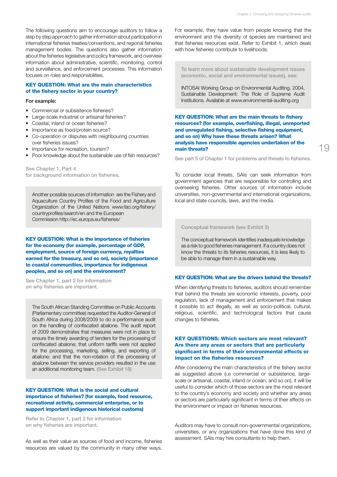The following questions aim to encourage auditors to follow a step by step approach to gather information about participation in international fisheries treaties/conventions, and regional fisheries management bodies. The questions also gather information about the fisheries legislative and policy framework, and overview information about administrative, scientific, monitoring, control and surveillance, and enforcement processes. This information focuses on roles and responsibilities.

#### **KEY QUESTION: What are the main characteristics** of the fishery sector in your country?

#### For example:

- • Commercial or subsistence fisheries?
- Large-scale industrial or artisanal fisheries?
- Coastal, inland or ocean fisheries?
- Importance as food/protein source?
- Co-operation or disputes with neighbouring countries over fisheries issues?
- Importance for recreation, tourism?
- Poor knowledge about the sustainable use of fish resources?

See Chapter 1, Part 4 for background information on fisheries.

Another possible sources of information are the Fishery and Aquaculture Country Profiles of the Food and Agriculture Organization of the United Nations www.fao.org/fishery/ countryprofiles/search/en and the European Commission http://ec.europa.eu/fisheries/

KEY QUESTION: What is the importance of fisheries for the economy (for example, percentage of GDP, employment, source of foreign currency, royalties earned for the treasury, and so on), society (importance to coastal communities, importance for indigenous peoples, and so on) and the environment?

See Chapter 1, part 2 for information on why fisheries are important.

The South African Standing Committee on Public Accounts (Parliamentary committee) requested the Auditor-General of South Africa during 2008/2009 to do a performance audit on the handling of confiscated abalone. The audit report of 2009 demonstrates that measures were not in place to ensure the timely awarding of tenders for the processing of confiscated abalone; that uniform tariffs were not applied for the processing, marketing, selling, and exporting of abalone; and that the non-rotation of the processing of abalone between the service providers resulted in the use an additional monitoring team. (See Exhibit 18)

#### **KEY QUESTION: What is the social and cultural** importance of fisheries? (for example, food resource, recreational activity, commercial enterprise, or to support important indigenous historical customs)

Refer to Chapter 1, part 2 for information on why fisheries are important.

As well as their value as sources of food and income, fisheries resources are valued by the community in many other ways.

For example, they have value from people knowing that the environment and the diversity of species are maintained and that fisheries resources exist. Refer to Exhibit 1, which deals with how fisheries contribute to livelihoods.

To learn more about sustainable development issues (economic, social and environmental issues), see:

INTOSAI Working Group on Environmental Auditing, 2004, Sustainable Development: The Role of Supreme Audit Institutions. Available at www.environmental-auditing.org

KEY QUESTION: What are the main threats to fishery resources? (for example, overfishing, illegal, unreported and unregulated fishing, selective fishing equipment, and so on) Why have these threats arisen? What analysis have responsible agencies undertaken of the main threats?

See part 5 of Chapter 1 for problems and threats to fisheries.

To consider local threats, SAIs can seek information from government agencies that are responsible for controlling and overseeing fisheries. Other sources of information include universities, non-governmental and international organizations, local and state councils, laws, and the media.

Conceptual framework (see Exhibit 5)

The conceptual framework identifies inadequate knowledge as a risk to good fisheries management. If a country does not know the threats to its fisheries resources, it is less likely to be able to manage them in a sustainable way.

#### Key question: What are the drivers behind the threats?

When identifying threats to fisheries, auditors should remember that behind the threats are economic interests, poverty, poor regulation, lack of management and enforcement that makes it possible to act illegally, as well as socio-political, cultural, religious, scientific, and technological factors that cause changes to fisheries.

#### KEY QUESTIONS: Which sectors are most relevant? Are there any areas or sectors that are particularly significant in terms of their environmental effects or impact on the fisheries resources?

After considering the main characteristics of the fishery sector as suggested above (i.e commercial or subsistence, largescale or artisanal, coastal, inland or ocean, and so on), it will be useful to consider which of those sectors are the most relevant to the country's economy and society and whether any areas or sectors are particularly significant in terms of their effects on the environment or impact on fisheries resources.

Auditors may have to consult non-governmental organizations, universities, or any organizations that have done this kind of assessment. SAIs may hire consultants to help them.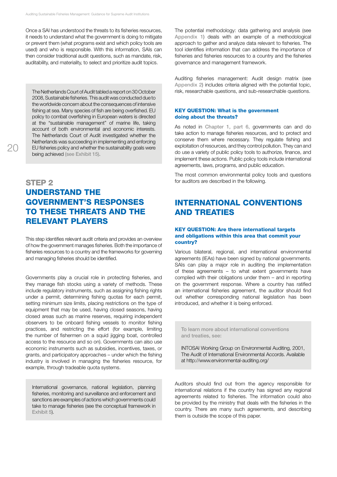Once a SAI has understood the threats to its fisheries resources, it needs to understand what the government is doing to mitigate or prevent them (what programs exist and which policy tools are used) and who is responsible. With this information, SAIs can then consider traditional audit questions, such as mandate, risk, auditability, and materiality, to select and prioritize audit topics.

The Netherlands Court of Audit tabled a report on 30 October 2008, Sustainable fisheries. This audit was conducted due to the worldwide concern about the consequences of intensive fishing at sea. Many species of fish are being overfished. EU policy to combat overfishing in European waters is directed at the "sustainable management" of marine life, taking account of both environmental and economic interests. The Netherlands Court of Audit investigated whether the Netherlands was succeeding in implementing and enforcing EU fisheries policy and whether the sustainability goals were being achieved (see Exhibit 15).

## STEP<sub>2</sub> Understand the government's responses to these threats and the relevant players

This step identifies relevant audit criteria and provides an overview of how the government manages fisheries. Both the importance of fisheries resources to a country and the frameworks for governing and managing fisheries should be identified.

Governments play a crucial role in protecting fisheries, and they manage fish stocks using a variety of methods. These include regulatory instruments, such as assigning fishing rights under a permit, determining fishing quotas for each permit, setting minimum size limits, placing restrictions on the type of equipment that may be used, having closed seasons, having closed areas such as marine reserves, requiring independent observers to be onboard fishing vessels to monitor fishing practices, and restricting the effort (for example, limiting the number of fishermen on a squid jigging boat, controlled access to the resource and so on). Governments can also use economic instruments such as subsidies, incentives, taxes, or grants, and participatory approaches – under which the fishing industry is involved in managing the fisheries resource, for example, through tradeable quota systems.

International governance, national legislation, planning fisheries, monitoring and surveillance and enforcement and sanctions are examples of actions which governments could take to manage fisheries (see the conceptual framework in Exhibit 5).

The potential methodology: data gathering and analysis (see Appendix 1) deals with an example of a methodological approach to gather and analyze data relevant to fisheries. The tool identifies information that can address the importance of fisheries and fisheries resources to a country and the fisheries governance and management framework.

Auditing fisheries management: Audit design matrix (see Appendix 2) includes criteria aligned with the potential topic, risk, researchable questions, and sub-researchable questions.

#### **KEY QUESTION: What is the government** doing about the threats?

As noted in Chapter 1, part 6, governments can and do take action to manage fisheries resources, and to protect and conserve them where necessary. They regulate fishing and exploitation of resources, and they control pollution. They can and do use a variety of public policy tools to authorize, finance, and implement these actions. Public policy tools include international agreements, laws, programs, and public education.

The most common environmental policy tools and questions for auditors are described in the following.

## International conventions and treaties

#### **KEY QUESTION: Are there international targets** and obligations within this area that commit your country?

Various bilateral, regional, and international environmental agreements (IEAs) have been signed by national governments. SAIs can play a major role in auditing the implementation of these agreements – to what extent governments have complied with their obligations under them – and in reporting on the government response. Where a country has ratified an international fisheries agreement, the auditor should find out whether corresponding national legislation has been introduced, and whether it is being enforced.

To learn more about international conventions and treaties, see:

INTOSAI Working Group on Environmental Auditing, 2001, The Audit of International Environmental Accords. Available at http://www.environmental-auditing.org/

Auditors should find out from the agency responsible for international relations if the country has signed any regional agreements related to fisheries. The information could also be provided by the ministry that deals with the fisheries in the country. There are many such agreements, and describing them is outside the scope of this paper.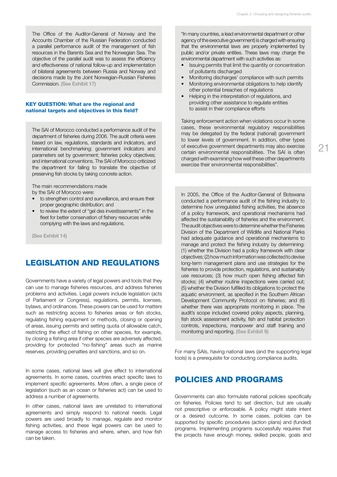The Office of the Auditor-General of Norway and the Accounts Chamber of the Russian Federation conducted a parallel performance audit of the management of fish resources in the Barents Sea and the Norwegian Sea. The objective of the parallel audit was to assess the efficiency and effectiveness of national follow-up and implementation of bilateral agreements between Russia and Norway and decisions made by the Joint Norwegian-Russian Fisheries Commission. (See Exhibit 17)

#### **KEY QUESTION: What are the regional and** national targets and objectives in this field?

The SAI of Morocco conducted a performance audit of the department of fisheries during 2006. The audit criteria were based on law, regulations, standards and indicators, and international benchmarking; government indicators and parameters set by government; fisheries policy objectives; and international conventions. The SAI of Morocco criticized the department for failing to translate the objective of preserving fish stocks by taking concrete action.

The main recommendations made by the SAI of Morocco were:

- to strengthen control and surveillance, and ensure their proper geographic distribution; and
- • to review the extent of "gel des investissements" in the fleet for better conservation of fishery resources while complying with the laws and regulations.

(See Exhibit 14)

## Legislation and regulations

Governments have a variety of legal powers and tools that they can use to manage fisheries resources, and address fisheries problems and activities. Legal powers include legislation (acts of Parliament or Congress), regulations, permits, licenses, bylaws, and ordinances. These powers can be used for matters such as restricting access to fisheries areas or fish stocks, regulating fishing equipment or methods, closing or opening of areas, issuing permits and setting quota of allowable catch, restricting the effect of fishing on other species, for example, by closing a fishing area if other species are adversely affected, providing for protected "no-fishing" areas such as marine reserves, providing penalties and sanctions, and so on.

In some cases, national laws will give effect to international agreements. In some cases, countries enact specific laws to implement specific agreements. More often, a single piece of legislation (such as an ocean or fisheries act) can be used to address a number of agreements.

In other cases, national laws are unrelated to international agreements and simply respond to national needs. Legal powers are used broadly to manage, regulate and monitor fishing activities, and these legal powers can be used to manage access to fisheries and where, when, and how fish can be taken.

"In many countries, a lead environmental department or other agency of the executive government) is charged with ensuring that the environmental laws are properly implemented by public and/or private entities. These laws may charge the environmental department with such activities as:

- Issuing permits that limit the quantity or concentration of pollutants discharged
- Monitoring discharges' compliance with such permits
- Monitoring environmental obligations to help identify other potential breaches of regulations
- Helping in the interpretation of regulations, and providing other assistance to regulate entities to assist in their compliance efforts

Taking enforcement action when violations occur In some cases, these environmental regulatory responsibilities may be delegated by the federal (national) government to lower levels of government. In addition, other types of executive government departments may also exercise certain environmental responsibilities. The SAI is often charged with examining how well these other departments exercise their environmental responsibilities".

In 2005, the Office of the Auditor-General of Botswana conducted a performance audit of the fishing industry to determine how unregulated fishing activities, the absence of a policy framework, and operational mechanisms had affected the sustainability of fisheries and the environment. The audit objectives were to determine whether the Fisheries Division of the Department of Wildlife and National Parks had adequate guidance and operational mechanisms to manage and protect the fishing industry by determining: (1) whether the Division had a policy framework with clear objectives; (2) how much information was collected to devise long-term management plans and use strategies for the fisheries to provide protection, regulations, and sustainably use resources; (3) how much open fishing affected fish stocks; (4) whether routine inspections were carried out; (5) whether the Division fulfilled its obligations to protect the aquatic environment, as specified in the Southern African Development Community Protocol on fisheries; and (6) whether there was appropriate monitoring in place. The audit's scope included covered policy aspects, planning, fish stock assessment activity, fish and habitat protection controls, inspections, manpower and staff training and monitoring and reporting. (See Exhibit 9)

For many SAIs, having national laws (and the supporting legal tools) is a prerequisite for conducting compliance audits.

## Policies and programs

Governments can also formulate national policies specifically on fisheries. Policies tend to set direction, but are usually not prescriptive or enforceable. A policy might state intent or a desired outcome. In some cases, policies can be supported by specific procedures (action plans) and (funded) programs. Implementing programs successfully requires that the projects have enough money, skilled people, goals and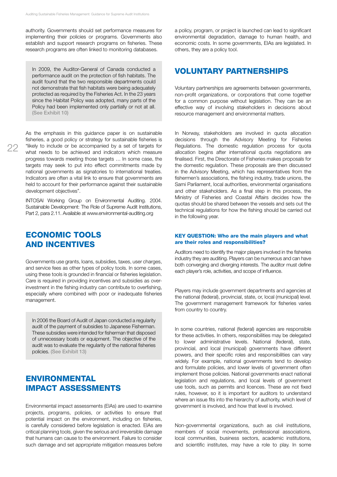authority. Governments should set performance measures for implementing their policies or programs. Governments also establish and support research programs on fisheries. These research programs are often linked to monitoring databases.

In 2009, the Auditor-General of Canada conducted a performance audit on the protection of fish habitats. The audit found that the two responsible departments could not demonstrate that fish habitats were being adequately protected as required by the Fisheries Act. In the 23 years since the Habitat Policy was adopted, many parts of the Policy had been implemented only partially or not at all. (See Exhibit 10)

As the emphasis in this guidance paper is on sustainable fisheries, a good policy or strategy for sustainable fisheries is "likely to include or be accompanied by a set of targets for what needs to be achieved and indicators which measure progress towards meeting those targets … In some case, the targets may seek to put into effect commitments made by national governments as signatories to international treaties. Indicators are often a vital link to ensure that governments are held to account for their performance against their sustainable development objectives".

INTOSAI Working Group on Environmental Auditing. 2004. Sustainable Development: The Role of Supreme Audit Institutions, Part 2, para 2.11. Available at www.environmental-auditing.org

## Economic tools and incentives

Governments use grants, loans, subsidies, taxes, user charges, and service fees as other types of policy tools. In some cases, using these tools is grounded in financial or fisheries legislation. Care is required in providing incentives and subsidies as overinvestment in the fishing industry can contribute to overfishing, especially where combined with poor or inadequate fisheries management.

In 2006 the Board of Audit of Japan conducted a regularity audit of the payment of subsidies to Japanese Fisherman. These subsidies were intended for fisherman that disposed of unnecessary boats or equipment. The objective of the audit was to evaluate the regularity of the national fisheries policies. (See Exhibit 13)

## **ENVIRONMENTAL** impact assessments

Environmental impact assessments (EIAs) are used to examine projects, programs, policies, or activities to ensure that potential impact on the environment, including on fisheries, is carefully considered before legislation is enacted. EIAs are critical planning tools, given the serious and irreversible damage that humans can cause to the environment. Failure to consider such damage and set appropriate mitigation measures before a policy, program, or project is launched can lead to significant environmental degradation, damage to human health, and economic costs. In some governments, EIAs are legislated. In others, they are a policy tool.

## Voluntary partnerships

Voluntary partnerships are agreements between governments, non-profit organizations, or corporations that come together for a common purpose without legislation. They can be an effective way of involving stakeholders in decisions about resource management and environmental matters.

In Norway, stakeholders are involved in quota allocation decisions through the Advisory Meeting for Fisheries Regulations. The domestic regulation process for quota allocation begins after international quota negotiations are finalised. First, the Directorate of Fisheries makes proposals for the domestic regulation. These proposals are then discussed in the Advisory Meeting, which has representatives from the fishermen's associations, the fishing industry, trade unions, the Sami Parliament, local authorities, environmental organisations and other stakeholders. As a final step in this process, the Ministry of Fisheries and Coastal Affairs decides how the quotas should be shared between the vessels and sets out the technical regulations for how the fishing should be carried out in the following year.

#### KEY QUESTION: Who are the main players and what are their roles and responsibilities?

Auditors need to identify the major players involved in the fisheries industry they are auditing. Players can be numerous and can have both converging and diverging interests. The auditor must define each player's role, activities, and scope of influence.

Players may include government departments and agencies at the national (federal), provincial, state, or, local (municipal) level. The government management framework for fisheries varies from country to country.

In some countries, national (federal) agencies are responsible for these activities. In others, responsibilities may be delegated to lower administrative levels. National (federal), state, provincial, and local (municipal) governments have different powers, and their specific roles and responsibilities can vary widely. For example, national governments tend to develop and formulate policies, and lower levels of government often implement those policies. National governments enact national legislation and regulations, and local levels of government use tools, such as permits and licences. These are not fixed rules, however, so it is important for auditors to understand where an issue fits into the hierarchy of authority, which level of government is involved, and how that level is involved.

Non-governmental organizations, such as civil institutions, members of social movements, professional associations, local communities, business sectors, academic institutions, and scientific institutes, may have a role to play. In some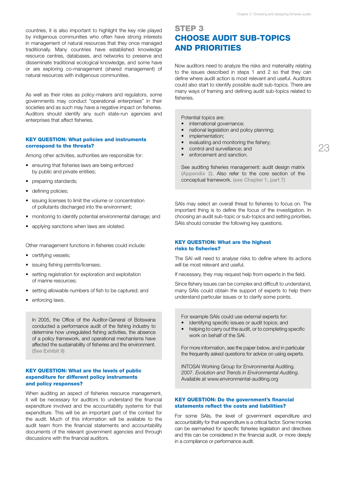countries, it is also important to highlight the key role played by indigenous communities who often have strong interests in management of natural resources that they once managed traditionally. Many countries have established knowledge resource centres, databases, and networks to preserve and disseminate traditional ecological knowledge, and some have or are exploring co-management (shared management) of natural resources with indigenous communities.

As well as their roles as policy-makers and regulators, some governments may conduct "operational enterprises" in their societies and as such may have a negative impact on fisheries. Auditors should identify any such state-run agencies and enterprises that affect fisheries.

#### **KEY QUESTION: What policies and instruments** correspond to the threats?

Among other activities, authorities are responsible for:

- ensuring that fisheries laws are being enforced by public and private entities;
- preparing standards;
- defining policies;
- issuing licenses to limit the volume or concentration of pollutants discharged into the environment;
- monitoring to identify potential environmental damage; and
- applying sanctions when laws are violated.

Other management functions in fisheries could include:

- certifying vessels;
- issuing fishing permits/licenses;
- setting registration for exploration and exploitation of marine resources;
- setting allowable numbers of fish to be captured; and
- enforcing laws.

In 2005, the Office of the Auditor-General of Botswana conducted a performance audit of the fishing industry to determine how unregulated fishing activities, the absence of a policy framework, and operational mechanisms have affected the sustainability of fisheries and the environment. (See Exhibit 9)

#### Key question: What are the levels of public expenditure for different policy instruments and policy responses?

When auditing an aspect of fisheries resource management, it will be necessary for auditors to understand the financial expenditure involved and the accountability systems for that expenditure. This will be an important part of the context for the audit. Much of this information will be available to the audit team from the financial statements and accountability documents of the relevant government agencies and through discussions with the financial auditors.

## STEP<sub>3</sub> Choose audit sub-topics and priorities

Now auditors need to analyze the risks and materiality relating to the issues described in steps 1 and 2 so that they can define where audit action is most relevant and useful. Auditors could also start to identify possible audit sub-topics. There are many ways of framing and defining audit sub-topics related to fisheries.

Potential topics are:

- international governance: national legislation and policy planning;
- implementation;
- evaluating and monitoring the fishery;
- control and surveillance; and
- enforcement and sanction

See auditing fisheries management: audit design matrix (Appendix 2). Also refer to the core section of the conceptual framework. (see Chapter 1, part 7)

SAIs may select an overall threat to fisheries to focus on. The important thing is to define the focus of the investigation. In choosing an audit sub-topic or sub-topics and setting priorities, SAIs should consider the following key questions.

#### **KEY QUESTION: What are the highest** risks to fisheries?

The SAI will need to analyse risks to define where its actions will be most relevant and useful.

If necessary, they may request help from experts in the field.

Since fishery issues can be complex and difficult to understand, many SAIs could obtain the support of experts to help them understand particular issues or to clarify some points.

For example SAIs could use external experts for:

- identifying specific issues or audit topics: and
- helping to carry out the audit, or to completing specific work on behalf of the SAI.

For more information, see the paper below, and in particular the frequently asked questions for advice on using experts.

INTOSAI Working Group for Environmental Auditing. 2007. *Evolution and Trends in Environmental Auditing*. Available at www.environmental-auditing.org

#### Key question: Do the government's financial statements reflect the costs and liabilities?

For some SAIs, the level of government expenditure and accountability for that expenditure is a critical factor. Some monies can be earmarked for specific fisheries legislation and directives and this can be considered in the financial audit, or more deeply in a compliance or performance audit.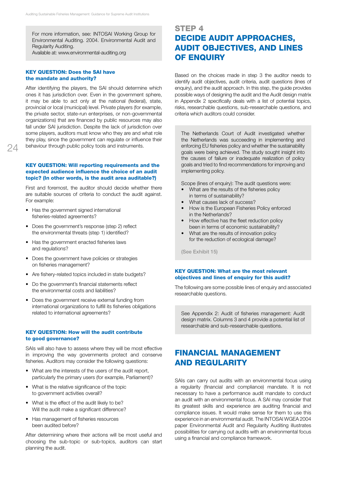For more information, see: INTOSAI Working Group for Environmental Auditing. 2004. Environmental Audit and Regularity Auditing.

Available at: www.environmental-auditing.org

#### Key Question: Does the SAI have the mandate and authority?

After identifying the players, the SAI should determine which ones it has jurisdiction over. Even in the government sphere, it may be able to act only at the national (federal), state, provincial or local (municipal) level. Private players (for example, the private sector, state-run enterprises, or non-governmental organizations) that are financed by public resources may also fall under SAI jurisdiction. Despite the lack of jurisdiction over some players, auditors must know who they are and what role they play, since the government can regulate or influence their behaviour through public policy tools and instruments.

 $24$ 

#### KEY QUESTION: Will reporting requirements and the expected audience influence the choice of an audit topic? (In other words, is the audit area auditable?)

First and foremost, the auditor should decide whether there are suitable sources of criteria to conduct the audit against. For example:

- Has the government signed international fisheries-related agreements?
- Does the government's response (step 2) reflect the environmental threats (step 1) identified?
- Has the government enacted fisheries laws and regulations?
- Does the government have policies or strategies on fisheries management?
- Are fishery-related topics included in state budgets?
- Do the government's financial statements reflect the environmental costs and liabilities?
- Does the government receive external funding from international organizations to fulfill its fisheries obligations related to international agreements?

#### **KEY QUESTION: How will the audit contribute** to good governance?

SAIs will also have to assess where they will be most effective in improving the way governments protect and conserve fisheries. Auditors may consider the following questions:

- What are the interests of the users of the audit report, particularly the primary users (for example, Parliament)?
- What is the relative significance of the topic to government activities overall?
- What is the effect of the audit likely to be? Will the audit make a significant difference?
- Has management of fisheries resources been audited before?

After determining where their actions will be most useful and choosing the sub-topic or sub-topics, auditors can start planning the audit.

## STEP<sub>4</sub> Decide audit approaches, audit objectives, and lines **OF ENQUIRY**

Based on the choices made in step 3 the auditor needs to identify audit objectives, audit criteria, audit questions (lines of enquiry), and the audit approach. In this step, the guide provides possible ways of designing the audit and the Audit design matrix in Appendix 2 specifically deals with a list of potential topics, risks, researchable questions, sub-researchable questions, and criteria which auditors could consider.

The Netherlands Court of Audit investigated whether the Netherlands was succeeding in implementing and enforcing EU fisheries policy and whether the sustainability goals were being achieved. The study sought insight into the causes of failure or inadequate realization of policy goals and tried to find recommendations for improving and implementing policy.

Scope (lines of enquiry): The audit questions were:

- What are the results of the fisheries policy in terms of sustainability?
- What causes lack of success?
- How is the European Fisheries Policy enforced in the Netherlands?
- How effective has the fleet reduction policy been in terms of economic sustainability?
- What are the results of innovation policy for the reduction of ecological damage?

(See Exhibit 15)

#### Key Question: What are the most relevant objectives and lines of enquiry for this audit?

The following are some possible lines of enquiry and associated researchable questions.

See Appendix 2: Audit of fisheries management: Audit design matrix. Columns 3 and 4 provide a potential list of researchable and sub-researchable questions.

## Financial management and regularity

SAIs can carry out audits with an environmental focus using a regularity (financial and compliance) mandate. It is not necessary to have a performance audit mandate to conduct an audit with an environmental focus. A SAI may consider that its greatest skills and experience are auditing financial and compliance issues. It would make sense for them to use this experience in an environmental audit. The INTOSAI WGEA 2004 paper Environmental Audit and Regularity Auditing illustrates possibilities for carrying out audits with an environmental focus using a financial and compliance framework.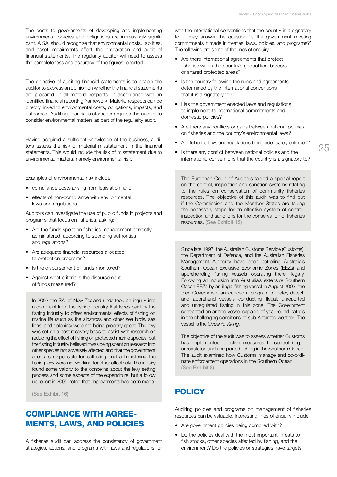The costs to governments of developing and implementing environmental policies and obligations are increasingly significant. A SAI should recognize that environmental costs, liabilities, and asset impairments affect the preparation and audit of financial statements. The regularity auditor will need to assess the completeness and accuracy of the figures reported.

The objective of auditing financial statements is to enable the auditor to express an opinion on whether the financial statements are prepared, in all material respects, in accordance with an identified financial reporting framework. Material respects can be directly linked to environmental costs, obligations, impacts, and outcomes. Auditing financial statements requires the auditor to consider environmental matters as part of the regularity audit.

Having acquired a sufficient knowledge of the business, auditors assess the risk of material misstatement in the financial statements. This would include the risk of misstatement due to environmental matters, namely environmental risk.

Examples of environmental risk include:

- compliance costs arising from legislation; and
- effects of non-compliance with environmental laws and regulations.

Auditors can investigate the use of public funds in projects and programs that focus on fisheries, asking:

- Are the funds spent on fisheries management correctly administered, according to spending authorities and regulations?
- • Are adequate financial resources allocated to protection programs?
- Is the disbursement of funds monitored?
- Against what criteria is the disbursement of funds measured?

In 2002 the SAI of New Zealand undertook an inquiry into a complaint from the fishing industry that levies paid by the fishing industry to offset environmental effects of fishing on marine life (such as the albatross and other sea birds, sea lions, and dolphins) were not being properly spent. The levy was set on a cost recovery basis to assist with research on reducing the effect of fishing on protected marine species, but the fishing industry believed it was being spent on research into other species not adversely affected and that the government agencies responsible for collecting and administering the fishing levy were not working together effectively. The inquiry found some validity to the concerns about the levy setting process and some aspects of the expenditure, but a follow up report in 2005 noted that improvements had been made.

(See Exhibit 16)

## Compliance with agreements, laws, and policies

A fisheries audit can address the consistency of government strategies, actions, and programs with laws and regulations, or

with the international conventions that the country is a signatory to. It may answer the question 'is the government meeting commitments it made in treaties, laws, policies, and programs?' The following are some of the lines of enquiry:

- Are there international agreements that protect fisheries within the country's geopolitical borders or shared protected areas?
- Is the country following the rules and agreements determined by the international conventions that it is a signatory to?
- Has the government enacted laws and regulations to implement its international commitments and domestic policies?
- Are there any conflicts or gaps between national policies on fisheries and the country's environmental laws?
- Are fisheries laws and regulations being adequately enforced?
- Is there any conflict between national policies and the international conventions that the country is a signatory to?

The European Court of Auditors tabled a special report on the control, inspection and sanction systems relating to the rules on conservation of community fisheries resources. The objective of this audit was to find out if the Commission and the Member States are taking the necessary steps for an effective system of control, inspection and sanctions for the conservation of fisheries resources. (See Exhibit 12)

Since late 1997, the Australian Customs Service (Customs), the Department of Defence, and the Australian Fisheries Management Authority have been patrolling Australia's Southern Ocean Exclusive Economic Zones (EEZs) and apprehending fishing vessels operating there illegally. Following an incursion into Australia's extensive Southern Ocean EEZs by an illegal fishing vessel in August 2003, the then Government announced a program to deter, detect, and apprehend vessels conducting illegal, unreported and unregulated fishing in this zone. The Government contracted an armed vessel capable of year-round patrols in the challenging conditions of sub-Antarctic weather. The vessel is the *Oceanic Viking*.

The objective of the audit was to assess whether Customs has implemented effective measures to control illegal, unregulated and unreported fishing in the Southern Ocean. The audit examined how Customs manage and co-ordinate enforcement operations in the Southern Ocean. (See Exhibit 8)

## **POLICY**

Auditing policies and programs on management of fisheries resources can be valuable. Interesting lines of enquiry include:

- Are government policies being complied with?
- Do the policies deal with the most important threats to fish stocks, other species affected by fishing, and the environment? Do the policies or strategies have targets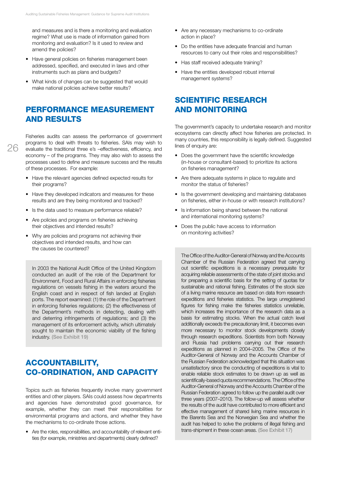and measures and is there a monitoring and evaluation regime? What use is made of information gained from monitoring and evaluation? Is it used to review and amend the policies?

- Have general policies on fisheries management been addressed, specified, and executed in laws and other instruments such as plans and budgets?
- What kinds of changes can be suggested that would make national policies achieve better results?

## Performance measurement and results

Fisheries audits can assess the performance of government programs to deal with threats to fisheries. SAIs may wish to evaluate the traditional three e's –effectiveness, efficiency, and economy – of the programs. They may also wish to assess the processes used to define and measure success and the results of these processes. For example:

- Have the relevant agencies defined expected results for their programs?
- Have they developed indicators and measures for these results and are they being monitored and tracked?
- Is the data used to measure performance reliable?
- Are policies and programs on fisheries achieving their objectives and intended results?
- Why are policies and programs not achieving their objectives and intended results, and how can the causes be countered?

In 2003 the National Audit Office of the United Kingdom conducted an audit of the role of the Department for Environment, Food and Rural Affairs in enforcing fisheries regulations on vessels fishing in the waters around the English coast and in respect of fish landed at English ports. The report examined: (1) the role of the Department in enforcing fisheries regulations; (2) the effectiveness of the Department's methods in detecting, dealing with and deterring infringements of regulations; and (3) the management of its enforcement activity, which ultimately sought to maintain the economic viability of the fishing industry. (See Exhibit 19)

## Accountability, co-ordination, and capacity

Topics such as fisheries frequently involve many government entities and other players. SAIs could assess how departments and agencies have demonstrated good governance, for example, whether they can meet their responsibilities for environmental programs and actions, and whether they have the mechanisms to co-ordinate those actions.

Are the roles, responsibilities, and accountability of relevant enti- ties (for example, ministries and departments) clearly defined?

- Are any necessary mechanisms to co-ordinate action in place?
- Do the entities have adequate financial and human resources to carry out their roles and responsibilities?
- Has staff received adequate training?
- Have the entities developed robust internal management systems?

## Scientific research and monitoring

The government's capacity to undertake research and monitor ecosystems can directly affect how fisheries are protected. In many countries, this responsibility is legally defined. Suggested lines of enquiry are:

- Does the government have the scientific knowledge (in-house or consultant-based) to prioritize its actions on fisheries management?
- Are there adequate systems in place to regulate and monitor the status of fisheries?
- Is the government developing and maintaining databases on fisheries, either in-house or with research institutions?
- Is information being shared between the national and international monitoring systems?
- Does the public have access to information on monitoring activities?

The Office of the Auditor-General of Norway and the Accounts Chamber of the Russian Federation agreed that carrying out scientific expeditions is a necessary prerequisite for acquiring reliable assessments of the state of joint stocks and for preparing a scientific basis for the setting of quotas for sustainable and rational fishing. Estimates of the stock size of a living marine resource are based on data from research expeditions and fisheries statistics. The large unregistered figures for fishing make the fisheries statistics unreliable, which increases the importance of the research data as a basis for estimating stocks. When the actual catch level additionally exceeds the precautionary limit, it becomes even more necessary to monitor stock developments closely through research expeditions. Scientists from both Norway and Russia had problems carrying out their research expeditions as planned in 2004–2005. The Office of the Auditor-General of Norway and the Accounts Chamber of the Russian Federation acknowledged that this situation was unsatisfactory since the conducting of expeditions is vital to enable reliable stock estimates to be drawn up as well as scientifically-based quota recommendations. The Office of the Auditor-General of Norway and the Accounts Chamber of the Russian Federation agreed to follow up the parallel audit over three years (2007–2010). The follow-up will assess whether the results of the audit have contributed to more efficient and effective management of shared living marine resources in the Barents Sea and the Norwegian Sea and whether the audit has helped to solve the problems of illegal fishing and trans-shipment in these ocean areas. (See Exhibit 17)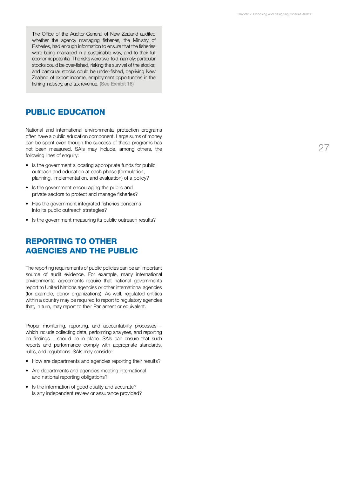The Office of the Auditor-General of New Zealand audited whether the agency managing fisheries, the Ministry of Fisheries, had enough information to ensure that the fisheries were being managed in a sustainable way, and to their full economic potential. The risks were two-fold, namely: particular stocks could be over-fished, risking the survival of the stocks; and particular stocks could be under-fished, depriving New Zealand of export income, employment opportunities in the fishing industry, and tax revenue. (See Exhibit 16)

## Public education

National and international environmental protection programs often have a public education component. Large sums of money can be spent even though the success of these programs has not been measured. SAIs may include, among others, the following lines of enquiry:

- Is the government allocating appropriate funds for public outreach and education at each phase (formulation, planning, implementation, and evaluation) of a policy?
- Is the government encouraging the public and private sectors to protect and manage fisheries?
- Has the government integrated fisheries concerns into its public outreach strategies?
- Is the government measuring its public outreach results?

## Reporting to other agencies and the public

The reporting requirements of public policies can be an important source of audit evidence. For example, many international environmental agreements require that national governments report to United Nations agencies or other international agencies (for example, donor organizations). As well, regulated entities within a country may be required to report to regulatory agencies that, in turn, may report to their Parliament or equivalent.

Proper monitoring, reporting, and accountability processes – which include collecting data, performing analyses, and reporting on findings – should be in place. SAIs can ensure that such reports and performance comply with appropriate standards, rules, and regulations. SAIs may consider:

- How are departments and agencies reporting their results?
- Are departments and agencies meeting international and national reporting obligations?
- Is the information of good quality and accurate? Is any independent review or assurance provided?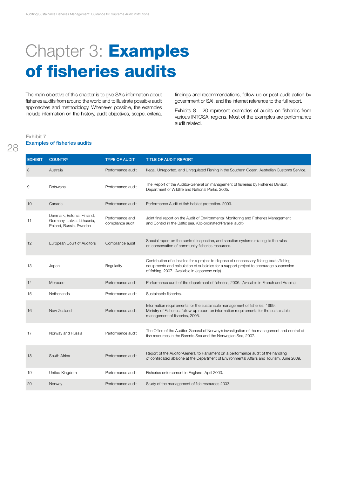# Chapter 3: **Examples** of fisheries audits

The main objective of this chapter is to give SAIs information about fisheries audits from around the world and to illustrate possible audit approaches and methodology. Whenever possible, the examples include information on the history, audit objectives, scope, criteria, findings and recommendations, follow-up or post-audit action by government or SAI, and the internet reference to the full report.

Exhibits 8 – 20 represent examples of audits on fisheries from various INTOSAI regions. Most of the examples are performance audit related.

#### Exhibit 7 Examples of fisheries audits

| <b>EXHIBIT</b> | <b>COUNTRY</b>                                                                      | <b>TYPE OF AUDIT</b>                | <b>TITLE OF AUDIT REPORT</b>                                                                                                                                                                                                       |
|----------------|-------------------------------------------------------------------------------------|-------------------------------------|------------------------------------------------------------------------------------------------------------------------------------------------------------------------------------------------------------------------------------|
| 8              | Australia                                                                           | Performance audit                   | Illegal, Unreported, and Unregulated Fishing in the Southern Ocean, Australian Customs Service.                                                                                                                                    |
| 9              | Botswana                                                                            | Performance audit                   | The Report of the Auditor-General on management of fisheries by Fisheries Division.<br>Department of Wildlife and National Parks. 2005.                                                                                            |
| 10             | Canada                                                                              | Performance audit                   | Performance Audit of fish habitat protection. 2009.                                                                                                                                                                                |
| 11             | Denmark, Estonia, Finland,<br>Germany, Latvia, Lithuania,<br>Poland, Russia, Sweden | Performance and<br>compliance audit | Joint final report on the Audit of Environmental Monitoring and Fisheries Management<br>and Control in the Baltic sea. (Co-ordinated/Parallel audit)                                                                               |
| 12             | European Court of Auditors                                                          | Compliance audit                    | Special report on the control, inspection, and sanction systems relating to the rules<br>on conservation of community fisheries resources.                                                                                         |
| 13             | Japan                                                                               | Regularity                          | Contribution of subsidies for a project to dispose of unnecessary fishing boats/fishing<br>equipments and calculation of subsidies for a support project to encourage suspension<br>of fishing, 2007. (Available in Japanese only) |
| 14             | Morocco                                                                             | Performance audit                   | Performance audit of the department of fisheries, 2006. (Available in French and Arabic.)                                                                                                                                          |
| 15             | Netherlands                                                                         | Performance audit                   | Sustainable fisheries.                                                                                                                                                                                                             |
| 16             | New Zealand                                                                         | Performance audit                   | Information requirements for the sustainable management of fisheries. 1999.<br>Ministry of Fisheries: follow-up report on information requirements for the sustainable<br>management of fisheries, 2005.                           |
| 17             | Norway and Russia                                                                   | Performance audit                   | The Office of the Auditor-General of Norway's investigation of the management and control of<br>fish resources in the Barents Sea and the Norwegian Sea, 2007.                                                                     |
| 18             | South Africa                                                                        | Performance audit                   | Report of the Auditor-General to Parliament on a performance audit of the handling<br>of confiscated abalone at the Department of Environmental Affairs and Tourism, June 2009.                                                    |
| 19             | United Kingdom                                                                      | Performance audit                   | Fisheries enforcement in England, April 2003.                                                                                                                                                                                      |
| 20             | Norway                                                                              | Performance audit                   | Study of the management of fish resources 2003.                                                                                                                                                                                    |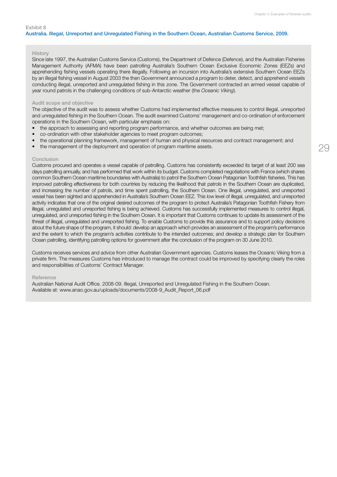#### Australia. Illegal, Unreported and Unregulated Fishing in the Southern Ocean, Australian Customs Service, 2009.

#### **History**

Since late 1997, the Australian Customs Service (Customs), the Department of Defence (Defence), and the Australian Fisheries Management Authority (AFMA) have been patrolling Australia's Southern Ocean Exclusive Economic Zones (EEZs) and apprehending fishing vessels operating there illegally. Following an incursion into Australia's extensive Southern Ocean EEZs by an illegal fishing vessel in August 2003 the then Government announced a program to deter, detect, and apprehend vessels conducting illegal, unreported and unregulated fishing in this zone. The Government contracted an armed vessel capable of year round patrols in the challenging conditions of sub-Antarctic weather (the *Oceanic Viking*).

#### Audit scope and objective

The objective of the audit was to assess whether Customs had implemented effective measures to control illegal, unreported and unregulated fishing in the Southern Ocean. The audit examined Customs' management and co-ordination of enforcement operations in the Southern Ocean, with particular emphasis on:

- the approach to assessing and reporting program performance, and whether outcomes are being met;
- co-ordination with other stakeholder agencies to meet program outcomes;
- the operational planning framework, management of human and physical resources and contract management; and
- the management of the deployment and operation of program maritime assets.

#### Conclusion

Customs procured and operates a vessel capable of patrolling. Customs has consistently exceeded its target of at least 200 sea days patrolling annually, and has performed that work within its budget. Customs completed negotiations with France (which shares common Southern Ocean maritime boundaries with Australia) to patrol the Southern Ocean Patagonian Toothfish fisheries. This has improved patrolling effectiveness for both countries by reducing the likelihood that patrols in the Southern Ocean are duplicated, and increasing the number of patrols, and time spent patrolling, the Southern Ocean. One illegal, unregulated, and unreported vessel has been sighted and apprehended in Australia's Southern Ocean EEZ. This low level of illegal, unregulated, and unreported activity indicates that one of the original desired outcomes of the program to protect Australia's Patagonian Toothfish Fishery from illegal, unregulated and unreported fishing is being achieved. Customs has successfully implemented measures to control illegal, unregulated, and unreported fishing in the Southern Ocean. It is important that Customs continues to update its assessment of the threat of illegal, unregulated and unreported fishing. To enable Customs to provide this assurance and to support policy decisions about the future shape of the program, it should: develop an approach which provides an assessment of the program's performance and the extent to which the program's activities contribute to the intended outcomes; and develop a strategic plan for Southern Ocean patrolling, identifying patrolling options for government after the conclusion of the program on 30 June 2010.

Customs receives services and advice from other Australian Government agencies. Customs leases the Oceanic Viking from a private firm. The measures Customs has introduced to manage the contract could be improved by specifying clearly the roles and responsibilities of Customs' Contract Manager.

#### Reference

Australian National Audit Office. 2008-09. Illegal, Unreported and Unregulated Fishing in the Southern Ocean. Available at: www.anao.gov.au/uploads/documents/2008-9\_Audit\_Report\_06.pdf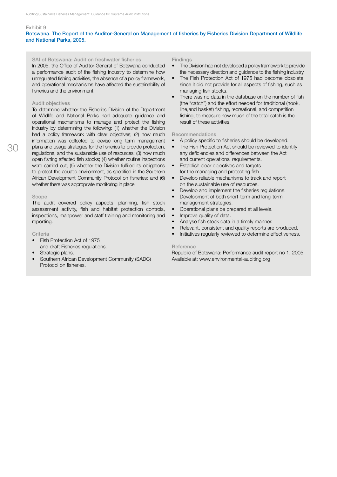#### Botswana. The Report of the Auditor-General on Management of fisheries by Fisheries Division Department of Wildlife and National Parks, 2005.

#### SAI of Botswana: Audit on freshwater fisheries

In 2005, the Office of Auditor-General of Botswana conducted a performance audit of the fishing industry to determine how unregulated fishing activities, the absence of a policy framework, and operational mechanisms have affected the sustainability of fisheries and the environment.

#### Audit objectives

To determine whether the Fisheries Division of the Department of Wildlife and National Parks had adequate guidance and operational mechanisms to manage and protect the fishing industry by determining the following: (1) whether the Division had a policy framework with clear objectives; (2) how much information was collected to devise long term management plans and usage strategies for the fisheries to provide protection, regulations, and the sustainable use of resources; (3) how much open fishing affected fish stocks; (4) whether routine inspections were carried out; (5) whether the Division fulfilled its obligations to protect the aquatic environment, as specified in the Southern African Development Community Protocol on fisheries; and (6) whether there was appropriate monitoring in place.

#### Scope

The audit covered policy aspects, planning, fish stock assessment activity, fish and habitat protection controls, inspections, manpower and staff training and monitoring and reporting.

#### **Criteria**

- Fish Protection Act of 1975 and draft Fisheries regulations.
- Strategic plans.
- Southern African Development Community (SADC) Protocol on fisheries.

#### Findings

- The Division had not developed a policy framework to provide the necessary direction and guidance to the fishing industry.
- The Fish Protection Act of 1975 had become obsolete, since it did not provide for all aspects of fishing, such as managing fish stocks.
- There was no data in the database on the number of fish (the "catch") and the effort needed for traditional (hook, line,and basket) fishing, recreational, and competition fishing, to measure how much of the total catch is the result of these activities.

#### Recommendations

- • A policy specific to fisheries should be developed.
- The Fish Protection Act should be reviewed to identify any deficiencies and differences between the Act and current operational requirements.
- **Establish clear objectives and targets** for the managing and protecting fish.
- Develop reliable mechanisms to track and report on the sustainable use of resources.
- Develop and implement the fisheries regulations.
- Development of both short-term and long-term
- management strategies.
- Operational plans be prepared at all levels.
- Improve quality of data.
- Analyse fish stock data in a timely manner.
- Relevant, consistent and quality reports are produced.
- Initiatives regularly reviewed to determine effectiveness.

#### **Reference**

Republic of Botswana: Performance audit report no 1. 2005. Available at: www.environmental-auditing.org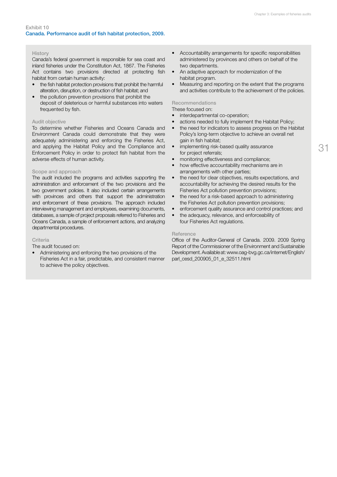#### **History**

Canada's federal government is responsible for sea coast and inland fisheries under the Constitution Act, 1867. The Fisheries Act contains two provisions directed at protecting fish habitat from certain human activity:

- the fish habitat protection provisions that prohibit the harmful alteration, disruption, or destruction of fish habitat; and
- the pollution prevention provisions that prohibit the deposit of deleterious or harmful substances into waters frequented by fish.

#### Audit objective

To determine whether Fisheries and Oceans Canada and Environment Canada could demonstrate that they were adequately administering and enforcing the Fisheries Act, and applying the Habitat Policy and the Compliance and Enforcement Policy in order to protect fish habitat from the adverse effects of human activity.

#### Scope and approach

The audit included the programs and activities supporting the administration and enforcement of the two provisions and the two government policies. It also included certain arrangements with provinces and others that support the administration and enforcement of these provisions. The approach included interviewing management and employees, examining documents, databases, a sample of project proposals referred to Fisheries and Oceans Canada, a sample of enforcement actions, and analyzing departmental procedures.

#### Criteria

#### The audit focused on:

• Administering and enforcing the two provisions of the Fisheries Act in a fair, predictable, and consistent manner to achieve the policy objectives.

- • Accountability arrangements for specific responsibilities administered by provinces and others on behalf of the two departments.
- An adaptive approach for modernization of the habitat program.
- Measuring and reporting on the extent that the programs and activities contribute to the achievement of the policies.

#### Recommendations

These focused on:

- interdepartmental co-operation;
- actions needed to fully implement the Habitat Policy;
- the need for indicators to assess progress on the Habitat Policy's long-term objective to achieve an overall net gain in fish habitat;
- implementing risk-based quality assurance for project referrals;
- monitoring effectiveness and compliance;
- how effective accountability mechanisms are in arrangements with other parties;
- the need for clear objectives, results expectations, and accountability for achieving the desired results for the Fisheries Act pollution prevention provisions;
- the need for a risk-based approach to administering the Fisheries Act pollution prevention provisions;
- enforcement quality assurance and control practices; and
- the adequacy, relevance, and enforceability of four Fisheries Act regulations.

#### **Reference**

Office of the Auditor-General of Canada. 2009. 2009 Spring Report of the Commissioner of the Environment and Sustainable Development. Available at: www.oag-bvg.gc.ca/internet/English/ parl\_cesd\_200905\_01\_e\_32511.html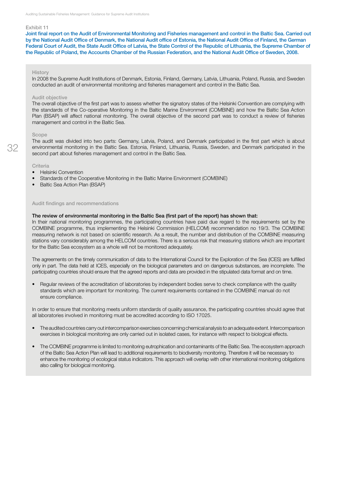Joint final report on the Audit of Environmental Monitoring and Fisheries management and control in the Baltic Sea. Carried out by the National Audit Office of Denmark, the National Audit office of Estonia, the National Audit Office of Finland, the German Federal Court of Audit, the State Audit Office of Latvia, the State Control of the Republic of Lithuania, the Supreme Chamber of the Republic of Poland, the Accounts Chamber of the Russian Federation, and the National Audit Office of Sweden, 2008.

#### History

In 2008 the Supreme Audit Institutions of Denmark, Estonia, Finland, Germany, Latvia, Lithuania, Poland, Russia, and Sweden conducted an audit of environmental monitoring and fisheries management and control in the Baltic Sea.

#### Audit objective

The overall objective of the first part was to assess whether the signatory states of the Helsinki Convention are complying with the standards of the Co-operative Monitoring in the Baltic Marine Environment (COMBINE) and how the Baltic Sea Action Plan (BSAP) will affect national monitoring. The overall objective of the second part was to conduct a review of fisheries management and control in the Baltic Sea.

#### Scope

The audit was divided into two parts: Germany, Latvia, Poland, and Denmark participated in the first part which is about environmental monitoring in the Baltic Sea. Estonia, Finland, Lithuania, Russia, Sweden, and Denmark participated in the second part about fisheries management and control in the Baltic Sea.

#### Criteria

- • Helsinki Convention
- Standards of the Cooperative Monitoring in the Baltic Marine Environment (COMBINE)
- **Baltic Sea Action Plan (BSAP)**

#### Audit findings and recommendations

#### The review of environmental monitoring in the Baltic Sea (first part of the report) has shown that:

In their national monitoring programmes, the participating countries have paid due regard to the requirements set by the COMBINE programme, thus implementing the Helsinki Commission (HELCOM) recommendation no 19/3. The COMBINE measuring network is not based on scientific research. As a result, the number and distribution of the COMBINE measuring stations vary considerably among the HELCOM countries. There is a serious risk that measuring stations which are important for the Baltic Sea ecosystem as a whole will not be monitored adequately.

The agreements on the timely communication of data to the International Council for the Exploration of the Sea (ICES) are fulfilled only in part. The data held at ICES, especially on the biological parameters and on dangerous substances, are incomplete. The participating countries should ensure that the agreed reports and data are provided in the stipulated data format and on time.

Regular reviews of the accreditation of laboratories by independent bodies serve to check compliance with the quality standards which are important for monitoring. The current requirements contained in the COMBINE manual do not ensure compliance.

In order to ensure that monitoring meets uniform standards of quality assurance, the participating countries should agree that all laboratories involved in monitoring must be accredited according to ISO 17025.

- The audited countries carry out intercomparison exercises concerning chemical analysis to an adequate extent. Intercomparison exercises in biological monitoring are only carried out in isolated cases, for instance with respect to biological effects.
- The COMBINE programme is limited to monitoring eutrophication and contaminants of the Baltic Sea. The ecosystem approach of the Baltic Sea Action Plan will lead to additional requirements to biodiversity monitoring. Therefore it will be necessary to enhance the monitoring of ecological status indicators. This approach will overlap with other international monitoring obligations also calling for biological monitoring.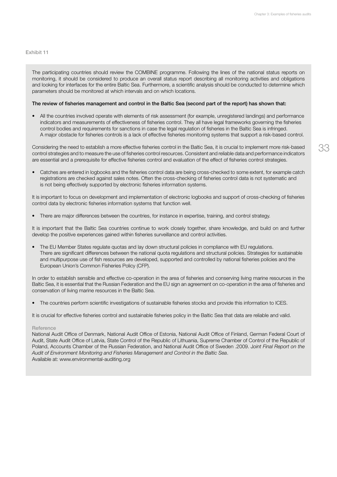The participating countries should review the COMBINE programme. Following the lines of the national status reports on monitoring, it should be considered to produce an overall status report describing all monitoring activities and obligations and looking for interfaces for the entire Baltic Sea. Furthermore, a scientific analysis should be conducted to determine which parameters should be monitored at which intervals and on which locations.

#### The review of fisheries management and control in the Baltic Sea (second part of the report) has shown that:

• All the countries involved operate with elements of risk assessment (for example, unregistered landings) and performance indicators and measurements of effectiveness of fisheries control. They all have legal frameworks governing the fisheries control bodies and requirements for sanctions in case the legal regulation of fisheries in the Baltic Sea is infringed. A major obstacle for fisheries controls is a lack of effective fisheries monitoring systems that support a risk-based control.

Considering the need to establish a more effective fisheries control in the Baltic Sea, it is crucial to implement more risk-based control strategies and to measure the use of fisheries control resources. Consistent and reliable data and performance indicators are essential and a prerequisite for effective fisheries control and evaluation of the effect of fisheries control strategies.

• Catches are entered in logbooks and the fisheries control data are being cross-checked to some extent, for example catch registrations are checked against sales notes. Often the cross-checking of fisheries control data is not systematic and is not being effectively supported by electronic fisheries information systems.

It is important to focus on development and implementation of electronic logbooks and support of cross-checking of fisheries control data by electronic fisheries information systems that function well.

• There are major differences between the countries, for instance in expertise, training, and control strategy.

It is important that the Baltic Sea countries continue to work closely together, share knowledge, and build on and further develop the positive experiences gained within fisheries surveillance and control activities.

The EU Member States regulate quotas and lay down structural policies in compliance with EU regulations. There are significant differences between the national quota regulations and structural policies. Strategies for sustainable and multipurpose use of fish resources are developed, supported and controlled by national fisheries policies and the European Union's Common Fisheries Policy (CFP).

In order to establish sensible and effective co-operation in the area of fisheries and conserving living marine resources in the Baltic Sea, it is essential that the Russian Federation and the EU sign an agreement on co-operation in the area of fisheries and conservation of living marine resources in the Baltic Sea.

• The countries perform scientific investigations of sustainable fisheries stocks and provide this information to ICES.

It is crucial for effective fisheries control and sustainable fisheries policy in the Baltic Sea that data are reliable and valid.

#### Reference

National Audit Office of Denmark, National Audit Office of Estonia, National Audit Office of Finland, German Federal Court of Audit, State Audit Office of Latvia, State Control of the Republic of Lithuania, Supreme Chamber of Control of the Republic of Poland, Accounts Chamber of the Russian Federation, and National Audit Office of Sweden .2009. J*oint Final Report on the Audit of Environment Monitoring and Fisheries Management and Control in the Baltic Sea*. Available at: www.environmental-auditing.org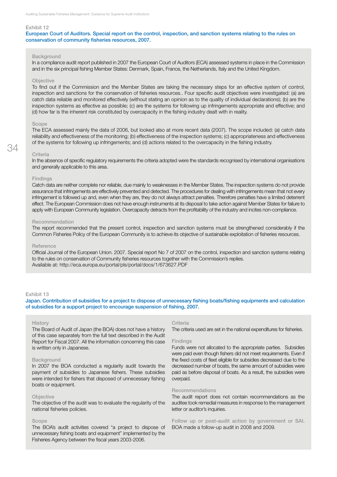European Court of Auditors. Special report on the control, inspection, and sanction systems relating to the rules on conservation of community fisheries resources, 2007.

#### **Background**

In a compliance audit report published in 2007 the European Court of Auditors (ECA) assessed systems in place in the Commission and in the six principal fishing Member States: Denmark, Spain, France, the Netherlands, Italy and the United Kingdom.

#### **Objective**

To find out if the Commission and the Member States are taking the necessary steps for an effective system of control, inspection and sanctions for the conservation of fisheries resources.. Four specific audit objectives were investigated: (a) are catch data reliable and monitored effectively (without stating an opinion as to the quality of individual declarations); (b) are the inspection systems as effective as possible; (c) are the systems for following up infringements appropriate and effective; and (d) how far is the inherent risk constituted by overcapacity in the fishing industry dealt with in reality.

#### Scope

The ECA assessed mainly the data of 2006, but looked also at more recent data (2007). The scope included: (a) catch data reliability and effectiveness of the monitoring; (b) effectiveness of the inspection systems; (c) appropriateness and effectiveness of the systems for following up infringements; and (d) actions related to the overcapacity in the fishing industry.

#### Criteria

34

In the absence of specific regulatory requirements the criteria adopted were the standards recognised by international organisations and generally applicable to this area.

#### Findings

Catch data are neither complete nor reliable, due mainly to weaknesses in the Member States. The inspection systems do not provide assurance that infringements are effectively prevented and detected. The procedures for dealing with infringements mean that not every infringement is followed up and, even when they are, they do not always attract penalties. Therefore penalties have a limited deterrent effect. The European Commission does not have enough instruments at its disposal to take action against Member States for failure to apply with European Community legislation. Overcapacity detracts from the profitability of the industry and incites non-compliance.

#### Recommendation

The report recommended that the present control, inspection and sanction systems must be strengthened considerably if the Common Fisheries Policy of the European Community is to achieve its objective of sustainable exploitation of fisheries resources.

#### Reference

Official Journal of the European Union. 2007. Special report No 7 of 2007 on the control, inspection and sanction systems relating to the rules on conservation of Community fisheries resources together with the Commission's replies. Available at: http://eca.europa.eu/portal/pls/portal/docs/1/673627.PDF

#### Exhibit 13

Japan. Contribution of subsidies for a project to dispose of unnecessary fishing boats/fishing equipments and calculation of subsidies for a support project to encourage suspension of fishing, 2007.

#### History

The Board of Audit of Japan (the BOA) does not have a history of this case separately from the full text described in the Audit Report for Fiscal 2007. All the information concerning this case is written only in Japanese.

#### **Background**

In 2007 the BOA conducted a regularity audit towards the payment of subsidies to Japanese fishers. These subsidies were intended for fishers that disposed of unnecessary fishing boats or equipment.

#### Objective

The objective of the audit was to evaluate the regularity of the national fisheries policies.

#### Scope

The BOA's audit activities covered "a project to dispose of unnecessary fishing boats and equipment" implemented by the Fisheries Agency between the fiscal years 2003-2006.

#### **Criteria**

The criteria used are set in the national expenditures for fisheries.

#### Findings

Funds were not allocated to the appropriate parties. Subsidies were paid even though fishers did not meet requirements. Even if the fixed costs of fleet eligible for subsidies decreased due to the decreased number of boats, the same amount of subsidies were paid as before disposal of boats. As a result, the subsidies were overpaid.

#### Recommendations

The audit report does not contain recommendations as the auditee took remedial measures in response to the management letter or auditor's inquiries.

Follow up or post-audit action by government or SAI. BOA made a follow-up audit in 2008 and 2009.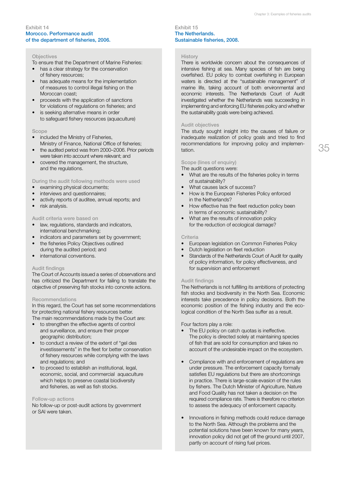#### Exhibit 14 Morocco. Performance audit of the department of fisheries, 2006.

#### **Objectives**

To ensure that the Department of Marine Fisheries:

- has a clear strategy for the conservation of fishery resources;
- has adequate means for the implementation of measures to control illegal fishing on the Moroccan coast;
- proceeds with the application of sanctions for violations of regulations on fisheries; and
- is seeking alternative means in order to safeguard fishery resources (aquaculture)

#### Scope

- included the Ministry of Fisheries, Ministry of Finance, National Office of fisheries;
- the audited period was from 2000–2006. Prior periods were taken into account where relevant; and
- covered the management, the structure, and the regulations.

During the audit following methods were used

- examining physical documents;
- interviews and questionnaires;
- activity reports of auditee, annual reports; and
- risk analysis.

#### Audit criteria were based on

- law, regulations, standards and indicators, international benchmarking;
- indicators and parameters set by government;
- the fisheries Policy Objectives outlined during the audited period; and
- • international conventions.

#### Audit findings

The Court of Accounts issued a series of observations and has criticized the Department for failing to translate the objective of preserving fish stocks into concrete actions.

#### Recommendations

In this regard, the Court has set some recommendations for protecting national fishery resources better. The main recommendations made by the Court are:

- • to strengthen the effective agents of control and surveillance, and ensure their proper geographic distribution;
- • to conduct a review of the extent of "gel des investissements" in the fleet for better conservation of fishery resources while complying with the laws and regulations; and
- • to proceed to establish an institutional, legal, economic, social, and commercial aquaculture which helps to preserve coastal biodiversity and fisheries, as well as fish stocks.

#### Follow-up actions

No follow-up or post-audit actions by government or SAI were taken.

#### Exhibit 15 The Netherlands. Sustainable fisheries, 2008.

#### History

There is worldwide concern about the consequences of intensive fishing at sea. Many species of fish are being overfished. EU policy to combat overfishing in European waters is directed at the "sustainable management" of marine life, taking account of both environmental and economic interests. The Netherlands Court of Audit investigated whether the Netherlands was succeeding in implementing and enforcing EU fisheries policy and whether the sustainability goals were being achieved.

#### Audit objectives

The study sought insight into the causes of failure or inadequate realization of policy goals and tried to find recommendations for improving policy and implementation.

### Scope (lines of enquiry)

#### The audit questions were: What are the results of the fisheries policy in terms of sustainability?

- What causes lack of success?
- How is the European Fisheries Policy enforced in the Netherlands?
- How effective has the fleet reduction policy been in terms of economic sustainability?
- What are the results of innovation policy for the reduction of ecological damage?

#### **Criteria**

- European legislation on Common Fisheries Policy
- • Dutch legislation on fleet reduction
- Standards of the Netherlands Court of Audit for quality of policy information, for policy effectiveness, and for supervision and enforcement

#### Audit findings

The Netherlands is not fulfilling its ambitions of protecting fish stocks and biodiversity in the North Sea. Economic interests take precedence in policy decisions. Both the economic position of the fishing industry and the ecological condition of the North Sea suffer as a result.

#### Four factors play a role:

- The EU policy on catch quotas is ineffective. The policy is directed solely at maintaining species of fish that are sold for consumption and takes no account of the undesirable impact on the ecosystem.
- Compliance with and enforcement of regulations are under pressure. The enforcement capacity formally satisfies EU regulations but there are shortcomings in practice. There is large-scale evasion of the rules by fishers. The Dutch Minister of Agriculture, Nature and Food Quality has not taken a decision on the required compliance rate. There is therefore no criterion to assess the adequacy of enforcement capacity.
- Innovations in fishing methods could reduce damage to the North Sea. Although the problems and the potential solutions have been known for many years, innovation policy did not get off the ground until 2007, partly on account of rising fuel prices.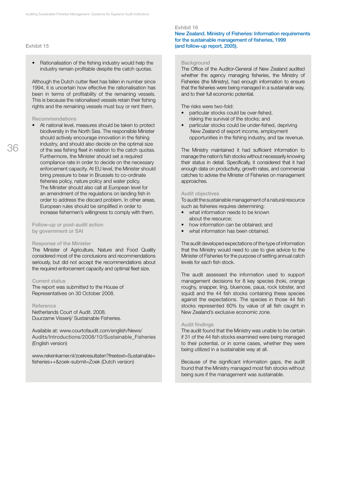• Rationalisation of the fishing industry would help the industry remain profitable despite the catch quotas.

Although the Dutch cutter fleet has fallen in number since 1994, it is uncertain how effective the rationalisation has been in terms of profitability of the remaining vessels. This is because the rationalised vessels retain their fishing rights and the remaining vessels must buy or rent them.

#### Recommendations

• At national level, measures should be taken to protect biodiversity in the North Sea. The responsible Minister should actively encourage innovation in the fishing industry, and should also decide on the optimal size of the sea fishing fleet in relation to the catch quotas. Furthermore, the Minister should set a required compliance rate in order to decide on the necessary enforcement capacity. At EU level, the Minister should bring pressure to bear in Brussels to co-ordinate fisheries policy, nature policy and water policy. The Minister should also call at European level for an amendment of the regulations on landing fish in order to address the discard problem. In other areas, European rules should be simplified in order to increase fishermen's willingness to comply with them.

#### Follow-up or post-audit action by government or SAI

#### Response of the Minister

The Minister of Agriculture, Nature and Food Quality considered most of the conclusions and recommendations seriously, but did not accept the recommendations about the required enforcement capacity and optimal fleet size.

#### Current status

The report was submitted to the House of Representatives on 30 October 2008.

#### Reference

Netherlands Court of Audit. 2008. Duurzame Visserij/ Sustainable Fisheries.

Available at: www.courtofaudit.com/english/News/ Audits/Introductions/2008/10/Sustainable\_Fisheries (English version)

www.rekenkamer.nl/zoekresultaten?freetext=Sustainable+ fisheries++&zoek-submit=Zoek (Dutch version)

#### Exhibit 16

New Zealand. Ministry of Fisheries: Information requirements for the sustainable management of fisheries, 1999 (and follow-up report, 2005).

#### **Background**

The Office of the Auditor-General of New Zealand audited whether the agency managing fisheries, the Ministry of Fisheries (the Ministry), had enough information to ensure that the fisheries were being managed in a sustainable way, and to their full economic potential.

The risks were two-fold:

- particular stocks could be over-fished, risking the survival of the stocks; and
- particular stocks could be under-fished, depriving New Zealand of export income, employment opportunities in the fishing industry, and tax revenue.

The Ministry maintained it had sufficient information to manage the nation's fish stocks without necessarily knowing their status in detail. Specifically, it considered that it had enough data on productivity, growth rates, and commercial catches to advise the Minister of Fisheries on management approaches.

#### Audit objectives

To audit the sustainable management of a natural resource such as fisheries requires determining:

- what information needs to be known about the resource;
- how information can be obtained; and
- what information has been obtained.

The audit developed expectations of the type of information that the Ministry would need to use to give advice to the Minister of Fisheries for the purpose of setting annual catch levels for each fish stock.

The audit assessed the information used to support management decisions for 8 key species (hoki, orange roughy, snapper, ling, bluenose, paua, rock lobster, and squid) and the 44 fish stocks containing these species against the expectations. The species in those 44 fish stocks represented 60% by value of all fish caught in New Zealand's exclusive economic zone.

#### Audit findings

The audit found that the Ministry was unable to be certain if 31 of the 44 fish stocks examined were being managed to their potential, or in some cases, whether they were being utilized in a sustainable way at all.

Because of the significant information gaps, the audit found that the Ministry managed most fish stocks without being sure if the management was sustainable.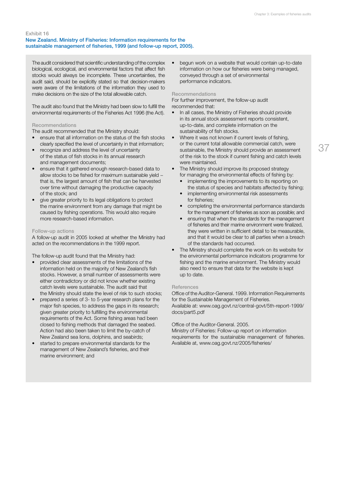#### Exhibit 16 New Zealand. Ministry of Fisheries: Information requirements for the sustainable management of fisheries, 1999 (and follow-up report, 2005).

The audit considered that scientific understanding of the complex biological, ecological, and environmental factors that affect fish stocks would always be incomplete. These uncertainties, the audit said, should be explicitly stated so that decision-makers were aware of the limitations of the information they used to make decisions on the size of the total allowable catch.

The audit also found that the Ministry had been slow to fulfill the environmental requirements of the Fisheries Act 1996 (the Act).

#### Recommendations

The audit recommended that the Ministry should:

- ensure that all information on the status of the fish stocks clearly specified the level of uncertainty in that information;
- recognize and address the level of uncertainty of the status of fish stocks in its annual research and management documents;
- ensure that it gathered enough research-based data to allow stocks to be fished for maximum sustainable yield − that is, the largest amount of fish that can be harvested over time without damaging the productive capacity of the stock; and
- give greater priority to its legal obligations to protect the marine environment from any damage that might be caused by fishing operations. This would also require more research-based information.

#### Follow-up actions

A follow-up audit in 2005 looked at whether the Ministry had acted on the recommendations in the 1999 report.

The follow-up audit found that the Ministry had:

- provided clear assessments of the limitations of the information held on the majority of New Zealand's fish stocks. However, a small number of assessments were either contradictory or did not know whether existing catch levels were sustainable. The audit said that the Ministry should state the level of risk to such stocks;
- prepared a series of 3- to 5-year research plans for the major fish species, to address the gaps in its research; given greater priority to fulfilling the environmental requirements of the Act. Some fishing areas had been closed to fishing methods that damaged the seabed. Action had also been taken to limit the by-catch of New Zealand sea lions, dolphins, and seabirds;
- started to prepare environmental standards for the management of New Zealand's fisheries, and their marine environment; and

begun work on a website that would contain up-to-date information on how our fisheries were being managed, conveyed through a set of environmental performance indicators.

#### Recommendations

For further improvement, the follow-up audit recommended that:

- In all cases, the Ministry of Fisheries should provide in its annual stock assessment reports consistent, up-to-date, and complete information on the sustainability of fish stocks.
- Where it was not known if current levels of fishing, or the current total allowable commercial catch, were sustainable, the Ministry should provide an assessment of the risk to the stock if current fishing and catch levels were maintained.
- The Ministry should improve its proposed strategy for managing the environmental effects of fishing by:
	- implementing the improvements to its reporting on the status of species and habitats affected by fishing;
	- implementing environmental risk assessments for fisheries;
	- completing the environmental performance standards for the management of fisheries as soon as possible; and
	- ensuring that when the standards for the management of fisheries and their marine environment were finalized, they were written in sufficient detail to be measurable, and that it would be clear to all parties when a breach of the standards had occurred.
- The Ministry should complete the work on its website for the environmental performance indicators programme for fishing and the marine environment. The Ministry would also need to ensure that data for the website is kept up to date.

#### **References**

Office of the Auditor-General. 1999. Information Requirements for the Sustainable Management of Fisheries. Available at: www.oag.govt.nz/central-govt/5th-report-1999/ docs/part5.pdf

#### Office of the Auditor-General. 2005.

Ministry of Fisheries: Follow-up report on information requirements for the sustainable management of fisheries. Available at, www.oag.govt.nz/2005/fisheries/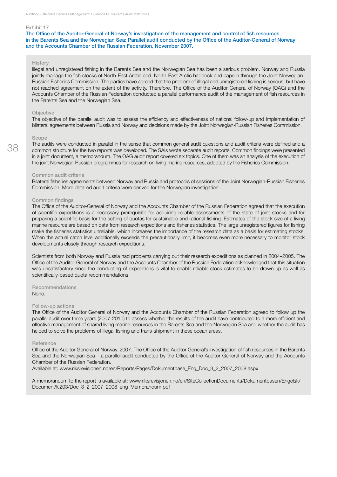The Office of the Auditor-General of Norway's investigation of the management and control of fish resources in the Barents Sea and the Norwegian Sea: Parallel audit conducted by the Office of the Auditor-General of Norway and the Accounts Chamber of the Russian Federation, November 2007.

#### **History**

Illegal and unregistered fishing in the Barents Sea and the Norwegian Sea has been a serious problem. Norway and Russia jointly manage the fish stocks of North-East Arctic cod, North-East Arctic haddock and capelin through the Joint Norwegian-Russian Fisheries Commission. The parties have agreed that the problem of illegal and unregistered fishing is serious, but have not reached agreement on the extent of the activity. Therefore, The Office of the Auditor General of Norway (OAG) and the Accounts Chamber of the Russian Federation conducted a parallel performance audit of the management of fish resources in the Barents Sea and the Norwegian Sea.

#### **Objective**

The objective of the parallel audit was to assess the efficiency and effectiveness of national follow-up and implementation of bilateral agreements between Russia and Norway and decisions made by the Joint Norwegian-Russian Fisheries Commission.

#### Scope

38

The audits were conducted in parallel in the sense that common general audit questions and audit criteria were defined and a common structure for the two reports was developed. The SAIs wrote separate audit reports. Common findings were presented in a joint document, a memorandum. The OAG audit report covered six topics. One of them was an analysis of the execution of the joint Norwegian-Russian programmes for research on living marine resources, adopted by the Fisheries Commission.

#### Common audit criteria

Bilateral fisheries agreements between Norway and Russia and protocols of sessions of the Joint Norwegian-Russian Fisheries Commission. More detailed audit criteria were derived for the Norwegian investigation.

#### Common findings

The Office of the Auditor-General of Norway and the Accounts Chamber of the Russian Federation agreed that the execution of scientific expeditions is a necessary prerequisite for acquiring reliable assessments of the state of joint stocks and for preparing a scientific basis for the setting of quotas for sustainable and rational fishing. Estimates of the stock size of a living marine resource are based on data from research expeditions and fisheries statistics. The large unregistered figures for fishing make the fisheries statistics unreliable, which increases the importance of the research data as a basis for estimating stocks. When the actual catch level additionally exceeds the precautionary limit, it becomes even more necessary to monitor stock developments closely through research expeditions.

Scientists from both Norway and Russia had problems carrying out their research expeditions as planned in 2004–2005. The Office of the Auditor General of Norway and the Accounts Chamber of the Russian Federation acknowledged that this situation was unsatisfactory since the conducting of expeditions is vital to enable reliable stock estimates to be drawn up as well as scientifically-based quota recommendations.

Recommendations None.

#### Follow-up actions

The Office of the Auditor General of Norway and the Accounts Chamber of the Russian Federation agreed to follow up the parallel audit over three years (2007-2010) to assess whether the results of the audit have contributed to a more efficient and effective management of shared living marine resources in the Barents Sea and the Norwegian Sea and whether the audit has helped to solve the problems of illegal fishing and trans-shipment in these ocean areas.

#### Reference

Office of the Auditor General of Norway. 2007. The Office of the Auditor General's investigation of fish resources in the Barents Sea and the Norwegian Sea – a parallel audit conducted by the Office of the Auditor General of Norway and the Accounts Chamber of the Russian Federation.

Available at: www.riksrevisjonen.no/en/Reports/Pages/Dokumentbase\_Eng\_Doc\_3\_2\_2007\_2008.aspx

A memorandum to the report is available at: www.riksrevisjonen.no/en/SiteCollectionDocuments/Dokumentbasen/Engelsk/ Document%203/Doc\_3\_2\_2007\_2008\_eng\_Memorandum.pdf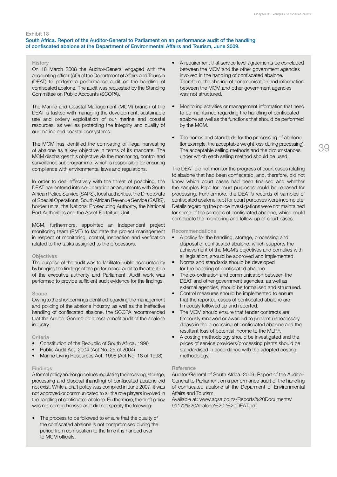#### South Africa. Report of the Auditor-General to Parliament on an performance audit of the handling of confiscated abalone at the Department of Environmental Affairs and Tourism, June 2009.

#### **History**

On 18 March 2008 the Auditor-General engaged with the accounting officer (AO) of the Department of Affairs and Tourism (DEAT) to perform a performance audit on the handling of confiscated abalone. The audit was requested by the Standing Committee on Public Accounts (SCOPA).

The Marine and Coastal Management (MCM) branch of the DEAT is tasked with managing the development, sustainable use and orderly exploitation of our marine and coastal resources, as well as protecting the integrity and quality of our marine and coastal ecosystems.

The MCM has identified the combating of illegal harvesting of abalone as a key objective in terms of its mandate. The MCM discharges this objective via the monitoring, control and surveillance subprogramme, which is responsible for ensuring compliance with environmental laws and regulations.

In order to deal effectively with the threat of poaching, the DEAT has entered into co-operation arrangements with South African Police Service (SAPS), local authorities, the Directorate of Special Operations, South African Revenue Service (SARS), border units, the National Prosecuting Authority, the National Port Authorities and the Asset Forfeiture Unit.

MCM, furthermore, appointed an independent project monitoring team (PMT) to facilitate the project management in respect of monitoring, control, inspection and verification related to the tasks assigned to the processors.

#### **Objectives**

The purpose of the audit was to facilitate public accountability by bringing the findings of the performance audit to the attention of the executive authority and Parliament. Audit work was performed to provide sufficient audit evidence for the findings.

#### Scope

Owing to the shortcomings identified regarding the management and policing of the abalone industry, as well as the ineffective handling of confiscated abalone, the SCOPA recommended that the Auditor-General do a cost-benefit audit of the abalone industry.

#### **Criteria**

- Constitution of the Republic of South Africa, 1996
- Public Audit Act, 2004 (Act No. 25 of 2004)
- Marine Living Resources Act, 1998 (Act No. 18 of 1998)

#### **Findings**

A formal policy and/or guidelines regulating the receiving, storage, processing and disposal (handling) of confiscated abalone did not exist. While a draft policy was compiled in June 2007, it was not approved or communicated to all the role players involved in the handling of confiscated abalone. Furthermore, the draft policy was not comprehensive as it did not specify the following:

The process to be followed to ensure that the quality of the confiscated abalone is not compromised during the period from confiscation to the time it is handed over to MCM officials.

- A requirement that service level agreements be concluded between the MCM and the other government agencies involved in the handling of confiscated abalone. Therefore, the sharing of communication and information between the MCM and other government agencies was not structured.
- Monitoring activities or management information that need to be maintained regarding the handling of confiscated abalone as well as the functions that should be performed by the MCM.
- The norms and standards for the processing of abalone (for example, the acceptable weight loss during processing). The acceptable selling methods and the circumstances under which each selling method should be used.

The DEAT did not monitor the progress of court cases relating to abalone that had been confiscated, and, therefore, did not know which court cases had been finalised and whether the samples kept for court purposes could be released for processing. Furthermore, the DEAT's records of samples of confiscated abalone kept for court purposes were incomplete. Details regarding the police investigations were not maintained for some of the samples of confiscated abalone, which could complicate the monitoring and follow-up of court cases.

#### Recommendations

- • A policy for the handling, storage, processing and disposal of confiscated abalone, which supports the achievement of the MCM's objectives and complies with all legislation, should be approved and implemented.
- Norms and standards should be developed for the handling of confiscated abalone.
- The co-ordination and communication between the DEAT and other government agencies, as well as external agencies, should be formalised and structured.
- Control measures should be implemented to ensure that the reported cases of confiscated abalone are timeously followed up and reported.
- The MCM should ensure that tender contracts are timeously renewed or awarded to prevent unnecessary delays in the processing of confiscated abalone and the resultant loss of potential income to the MLRF.
- A costing methodology should be investigated and the prices of service providers/processing plants should be standardised in accordance with the adopted costing methodology.

#### Reference

Auditor-General of South Africa. 2009. Report of the Auditor-General to Parliament on a performance audit of the handling of confiscated abalone at the Deparment of Environmental Affairs and Tourism.

Available at: www.agsa.co.za/Reports%20Documents/ 91172%20Abalone%20-%20DEAT.pdf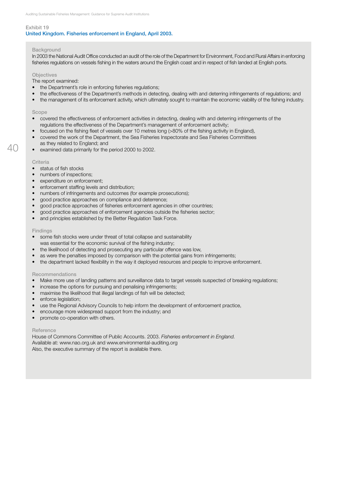### Exhibit 19 United Kingdom. Fisheries enforcement in England, April 2003.

#### Background

In 2003 the National Audit Office conducted an audit of the role of the Department for Environment, Food and Rural Affairs in enforcing fisheries regulations on vessels fishing in the waters around the English coast and in respect of fish landed at English ports.

#### **Objectives**

The report examined:

- the Department's role in enforcing fisheries regulations;
- the effectiveness of the Department's methods in detecting, dealing with and deterring infringements of regulations; and
- the management of its enforcement activity, which ultimately sought to maintain the economic viability of the fishing industry.

#### Scope

- • covered the effectiveness of enforcement activities in detecting, dealing with and deterring infringements of the regulations the effectiveness of the Department's management of enforcement activity;
- focused on the fishing fleet of vessels over 10 metres long (>80% of the fishing activity in England),
- covered the work of the Department, the Sea Fisheries Inspectorate and Sea Fisheries Committees as they related to England; and
- • examined data primarily for the period 2000 to 2002.

#### **Criteria**

- status of fish stocks
- numbers of inspections:
- expenditure on enforcement;
- enforcement staffing levels and distribution;
- numbers of infringements and outcomes (for example prosecutions);
- good practice approaches on compliance and deterrence;
- good practice approaches of fisheries enforcement agencies in other countries;
- good practice approaches of enforcement agencies outside the fisheries sector;
- and principles established by the Better Regulation Task Force.

#### **Findings**

- some fish stocks were under threat of total collapse and sustainability
- was essential for the economic survival of the fishing industry;
- the likelihood of detecting and prosecuting any particular offence was low,
- as were the penalties imposed by comparison with the potential gains from infringements;
- the department lacked flexibility in the way it deployed resources and people to improve enforcement.

#### Recommendations

- Make more use of landing patterns and surveillance data to target vessels suspected of breaking regulations;
- increase the options for pursuing and penalising infringements;
- maximise the likelihood that illegal landings of fish will be detected;
- enforce legislation;
- use the Regional Advisory Councils to help inform the development of enforcement practice,
- encourage more widespread support from the industry; and
- promote co-operation with others.

#### Reference

House of Commons Committee of Public Accounts. 2003. *Fisheries enforcement in England.* Available at: www.nao.org.uk and www.environmental-auditing.org Also, the executive summary of the report is available there.

 $\Delta\Gamma$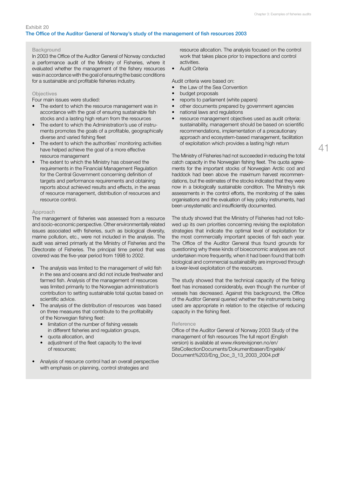#### **Background**

In 2003 the Office of the Auditor General of Norway conducted a performance audit of the Ministry of Fisheries, where it evaluated whether the management of the fishery resources was in accordance with the goal of ensuring the basic conditions for a sustainable and profitable fisheries industry.

#### **Objectives**

Four main issues were studied:

- The extent to which the resource management was in accordance with the goal of ensuring sustainable fish stocks and a lasting high return from the resources
- The extent to which the Administration's use of instruments promotes the goals of a profitable, geographically diverse and varied fishing fleet
- The extent to which the authorities' monitoring activities have helped achieve the goal of a more effective resource management
- The extent to which the Ministry has observed the requirements in the Financial Management Regulation for the Central Government concerning definition of targets and performance requirements and obtaining reports about achieved results and effects, in the areas of resource management, distribution of resources and resource control.

#### Approach

The management of fisheries was assessed from a resource and socio-economic perspective. Other environmentally related issues associated with fisheries, such as biological diversity, marine pollution, etc., were not included in the analysis. The audit was aimed primarily at the Ministry of Fisheries and the Directorate of Fisheries. The principal time period that was covered was the five-year period from 1998 to 2002.

- The analysis was limited to the management of wild fish in the sea and oceans and did not include freshwater and farmed fish. Analysis of the management of resources was limited primarily to the Norwegian administration's contribution to setting sustainable total quotas based on scientific advice.
- The analysis of the distribution of resources was based on three measures that contribute to the profitability of the Norwegian fishing fleet:
	- limitation of the number of fishing vessels in different fisheries and regulation groups,
	- quota allocation, and
	- adjustment of the fleet capacity to the level of resources;
- Analysis of resource control had an overall perspective with emphasis on planning, control strategies and

resource allocation. The analysis focused on the control work that takes place prior to inspections and control activities.

• Audit Criteria

Audit criteria were based on:

- the Law of the Sea Convention
- budget proposals
- reports to parliament (white papers)
- other documents prepared by government agencies
- national laws and regulations
- • resource management objectives used as audit criteria: sustainability, management should be based on scientific recommendations, implementation of a precautionary approach and ecosystem-based management, facilitation of exploitation which provides a lasting high return

The Ministry of Fisheries had not succeeded in reducing the total catch capacity in the Norwegian fishing fleet. The quota agreements for the important stocks of Norwegian Arctic cod and haddock had been above the maximum harvest recommendations, but the estimates of the stocks indicated that they were now in a biologically sustainable condition. The Ministry's risk assessments in the control efforts, the monitoring of the sales organisations and the evaluation of key policy instruments, had been unsystematic and insufficiently documented.

The study showed that the Ministry of Fisheries had not followed up its own priorities concerning revising the exploitation strategies that indicate the optimal level of exploitation for the most commercially important species of fish each year. The Office of the Auditor General thus found grounds for questioning why these kinds of bioeconomic analyses are not undertaken more frequently, when it had been found that both biological and commercial sustainability are improved through a lower-level exploitation of the resources.

The study showed that the technical capacity of the fishing fleet has increased considerably, even though the number of vessels has decreased. Against this background, the Office of the Auditor General queried whether the instruments being used are appropriate in relation to the objective of reducing capacity in the fishing fleet.

#### **Reference**

Office of the Auditor General of Norway 2003 Study of the management of fish resources The full report (English version) is available at www.riksrevisjonen.no/en/ SiteCollectionDocuments/Dokumentbasen/Engelsk/ Document%203/Eng\_Doc\_3\_13\_2003\_2004.pdf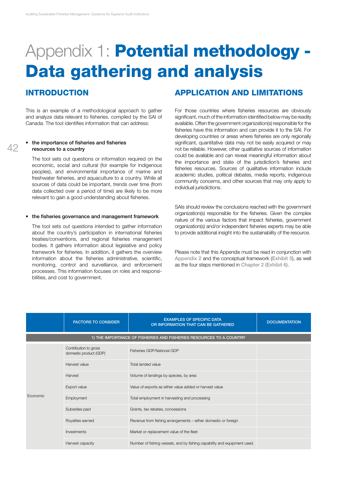# Appendix 1: **Potential methodology -**Data gathering and analysis

### **INTRODUCTION**

42

This is an example of a methodological approach to gather and analyze data relevant to fisheries, compiled by the SAI of Canada. The tool identifies information that can address:

#### the importance of fisheries and fisheries resources to a country

The tool sets out questions or information required on the economic, social and cultural (for example for indigenous peoples), and environmental importance of marine and freshwater fisheries, and aquaculture to a country. While all sources of data could be important, trends over time (from data collected over a period of time) are likely to be more relevant to gain a good understanding about fisheries.

#### the fisheries governance and management framework

The tool sets out questions intended to gather information about the country's participation in international fisheries treaties/conventions, and regional fisheries management bodies. It gathers information about legislative and policy framework for fisheries. In addition, it gathers the overview information about the fisheries administrative, scientific, monitoring, control and surveillance, and enforcement processes. This information focuses on roles and responsibilities, and cost to government.

### Application and limitations

For those countries where fisheries resources are obviously significant, much of the information identified below may be readily available. Often the government organization(s) responsible for the fisheries have this information and can provide it to the SAI. For developing countries or areas where fisheries are only regionally significant, quantitative data may not be easily acquired or may not be reliable. However, other qualitative sources of information could be available and can reveal meaningful information about the importance and state of the jurisdiction's fisheries and fisheries resources. Sources of qualitative information include academic studies, political debates, media reports, indigenous community concerns, and other sources that may only apply to individual jurisdictions.

SAIs should review the conclusions reached with the government organization(s) responsible for the fisheries. Given the complex nature of the various factors that impact fisheries, government organization(s) and/or independent fisheries experts may be able to provide additional insight into the sustainability of the resource.

Please note that this Appendix must be read in conjunction with Appendix 2 and the conceptual framework (Exhibit 5), as well as the four steps mentioned in Chapter 2 (Exhibit 6).

|          | <b>FACTORS TO CONSIDER</b>                      | <b>EXAMPLES OF SPECIFIC DATA</b><br>OR INFORMATION THAT CAN BE GATHERED  | <b>DOCUMENTATION</b> |
|----------|-------------------------------------------------|--------------------------------------------------------------------------|----------------------|
|          |                                                 | 1) THE IMPORTANCE OF FISHERIES AND FISHERIES RESOURCES TO A COUNTRY      |                      |
|          | Contribution to gross<br>domestic product (GDP) | Fisheries GDP/National GDP                                               |                      |
|          | Harvest value                                   | Total landed value                                                       |                      |
|          | Harvest                                         | Volume of landings by species, by area                                   |                      |
|          | Export value                                    | Value of exports as either value added or harvest value                  |                      |
| Economic | Employment                                      | Total employment in harvesting and processing                            |                      |
|          | Subsidies paid                                  | Grants, tax rebates, concessions                                         |                      |
|          | Royalties earned                                | Revenue from fishing arrangements - either domestic or foreign           |                      |
|          | Investments                                     | Market or replacement value of the fleet                                 |                      |
|          | Harvest capacity                                | Number of fishing vessels, and by fishing capability and equipment used. |                      |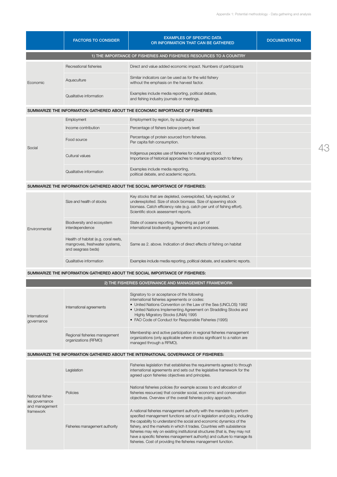|                                                                   | <b>FACTORS TO CONSIDER</b>                                                                   | <b>EXAMPLES OF SPECIFIC DATA</b><br>OR INFORMATION THAT CAN BE GATHERED                                                                                                                                                                                                                                                                                                                                                                                                                                                                   | <b>DOCUMENTATION</b> |  |
|-------------------------------------------------------------------|----------------------------------------------------------------------------------------------|-------------------------------------------------------------------------------------------------------------------------------------------------------------------------------------------------------------------------------------------------------------------------------------------------------------------------------------------------------------------------------------------------------------------------------------------------------------------------------------------------------------------------------------------|----------------------|--|
|                                                                   |                                                                                              | 1) THE IMPORTANCE OF FISHERIES AND FISHERIES RESOURCES TO A COUNTRY                                                                                                                                                                                                                                                                                                                                                                                                                                                                       |                      |  |
|                                                                   | Recreational fisheries                                                                       | Direct and value added economic impact. Numbers of participants                                                                                                                                                                                                                                                                                                                                                                                                                                                                           |                      |  |
| Economic                                                          | Aquaculture                                                                                  | Similar indicators can be used as for the wild fishery<br>without the emphasis on the harvest factor.                                                                                                                                                                                                                                                                                                                                                                                                                                     |                      |  |
|                                                                   | Qualitative information                                                                      | Examples include media reporting, political debate,<br>and fishing industry journals or meetings.                                                                                                                                                                                                                                                                                                                                                                                                                                         |                      |  |
|                                                                   |                                                                                              | SUMMARIZE THE INFORMATION GATHERED ABOUT THE ECONOMIC IMPORTANCE OF FISHERIES:                                                                                                                                                                                                                                                                                                                                                                                                                                                            |                      |  |
|                                                                   | Employment                                                                                   | Employment by region, by subgroups                                                                                                                                                                                                                                                                                                                                                                                                                                                                                                        |                      |  |
|                                                                   | Income contribution                                                                          | Percentage of fishers below poverty level                                                                                                                                                                                                                                                                                                                                                                                                                                                                                                 |                      |  |
| Social                                                            | Food source                                                                                  | Percentage of protein sourced from fisheries.<br>Per capita fish consumption.                                                                                                                                                                                                                                                                                                                                                                                                                                                             |                      |  |
|                                                                   | Cultural values                                                                              | Indigenous peoples use of fisheries for cultural and food.<br>Importance of historical approaches to managing approach to fishery.                                                                                                                                                                                                                                                                                                                                                                                                        |                      |  |
|                                                                   | Qualitative information                                                                      | Examples include media reporting,<br>political debate, and academic reports.                                                                                                                                                                                                                                                                                                                                                                                                                                                              |                      |  |
|                                                                   |                                                                                              | SUMMARIZE THE INFORMATION GATHERED ABOUT THE SOCIAL IMPORTANCE OF FISHERIES:                                                                                                                                                                                                                                                                                                                                                                                                                                                              |                      |  |
| Environmental                                                     | Size and health of stocks                                                                    | Key stocks that are depleted, overexploited, fully exploited, or<br>underexploited. Size of stock biomass. Size of spawning stock<br>biomass. Catch efficiency rate (e.g. catch per unit of fishing effort).<br>Scientific stock assessment reports.                                                                                                                                                                                                                                                                                      |                      |  |
|                                                                   | Biodiversity and ecosystem<br>interdependence                                                | State of oceans reporting. Reporting as part of<br>international biodiversity agreements and processes.                                                                                                                                                                                                                                                                                                                                                                                                                                   |                      |  |
|                                                                   | Health of habitat (e.g. coral reefs,<br>mangroves, freshwater systems,<br>and seagrass beds) | Same as 2. above. Indication of direct effects of fishing on habitat                                                                                                                                                                                                                                                                                                                                                                                                                                                                      |                      |  |
|                                                                   | Qualitative information                                                                      | Examples include media reporting, political debate, and academic reports.                                                                                                                                                                                                                                                                                                                                                                                                                                                                 |                      |  |
|                                                                   |                                                                                              | SUMMARIZE THE INFORMATION GATHERED ABOUT THE SOCIAL IMPORTANCE OF FISHERIES:                                                                                                                                                                                                                                                                                                                                                                                                                                                              |                      |  |
| 2) THE FISHERIES GOVERNANCE AND MANAGEMENT FRAMEWORK              |                                                                                              |                                                                                                                                                                                                                                                                                                                                                                                                                                                                                                                                           |                      |  |
| International<br>governance                                       | International agreements                                                                     | Signatory to or acceptance of the following<br>international fisheries agreements or codes:<br>• United Nations Convention on the Law of the Sea (UNCLOS) 1982<br>• United Nations Implementing Agreement on Straddling Stocks and<br>Highly Migratory Stocks (UNIA) 1995<br>• FAO Code of Conduct for Responsible Fisheries (1995)                                                                                                                                                                                                       |                      |  |
|                                                                   | Regional fisheries management<br>organizations (RFMO)                                        | Membership and active participation in regional fisheries management<br>organizations (only applicable where stocks significant to a nation are<br>managed through a RFMO).                                                                                                                                                                                                                                                                                                                                                               |                      |  |
|                                                                   |                                                                                              | SUMMARIZE THE INFORMATION GATHERED ABOUT THE INTERNATIONAL GOVERNANCE OF FISHERIES:                                                                                                                                                                                                                                                                                                                                                                                                                                                       |                      |  |
|                                                                   | Legislation                                                                                  | Fisheries legislation that establishes the requirements agreed to through<br>international agreements and sets out the legislative framework for the<br>agreed upon fisheries objectives and principles.                                                                                                                                                                                                                                                                                                                                  |                      |  |
| National fisher-<br>ies governance<br>and management<br>framework | Policies                                                                                     | National fisheries policies (for example access to and allocation of<br>fisheries resources) that consider social, economic and conservation<br>objectives. Overview of the overall fisheries policy approach.                                                                                                                                                                                                                                                                                                                            |                      |  |
|                                                                   | Fisheries management authority                                                               | A national fisheries management authority with the mandate to perform<br>specified management functions set out in legislation and policy, including<br>the capability to understand the social and economic dynamics of the<br>fishery, and the markets in which it trades. Countries with subsistence<br>fisheries may rely on existing institutional structures (that is, they may not<br>have a specific fisheries management authority) and culture to manage its<br>fisheries. Cost of providing the fisheries management function. |                      |  |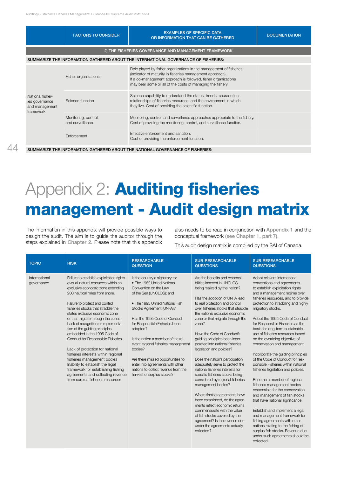|                                                                   | <b>FACTORS TO CONSIDER</b>                           | <b>EXAMPLES OF SPECIFIC DATA</b><br>OR INFORMATION THAT CAN BE GATHERED                                                                                                                                                                                        | <b>DOCUMENTATION</b> |  |  |
|-------------------------------------------------------------------|------------------------------------------------------|----------------------------------------------------------------------------------------------------------------------------------------------------------------------------------------------------------------------------------------------------------------|----------------------|--|--|
|                                                                   | 2) THE FISHERIES GOVERNANCE AND MANAGEMENT FRAMEWORK |                                                                                                                                                                                                                                                                |                      |  |  |
|                                                                   |                                                      | SUMMARIZE THE INFORMATION GATHERED ABOUT THE INTERNATIONAL GOVERNANCE OF FISHERIES:                                                                                                                                                                            |                      |  |  |
|                                                                   | Fisher organizations                                 | Role played by fisher organizations in the management of fisheries<br>(indicator of maturity in fisheries management approach).<br>If a co-management approach is followed, fisher organizations<br>may bear some or all of the costs of managing the fishery. |                      |  |  |
| National fisher-<br>ies governance<br>and management<br>framework | Science function                                     | Science capability to understand the status, trends, cause-effect<br>relationships of fisheries resources, and the environment in which<br>they live. Cost of providing the scientific function.                                                               |                      |  |  |
|                                                                   | Monitoring, control,<br>and surveillance             | Monitoring, control, and surveillance approaches appropriate to the fishery.<br>Cost of providing the monitoring, control, and surveillance function.                                                                                                          |                      |  |  |
|                                                                   | Enforcement                                          | Effective enforcement and sanction<br>Cost of providing the enforcement function.                                                                                                                                                                              |                      |  |  |

Summarize the information gathered about the national governance of fisheries:

# Appendix 2: **Auditing fisheries** management - Audit design matrix

The information in this appendix will provide possible ways to design the audit. The aim is to guide the auditor through the steps explained in Chapter 2. Please note that this appendix also needs to be read in conjunction with Appendix 1 and the conceptual framework (see Chapter 1, part 7).

This audit design matrix is compiled by the SAI of Canada.

| <b>TOPIC</b>                | <b>RISK</b>                                                                                                                                                                                                                                                                                                                                                                                                                                                                                                                                                                                                                                                                                                      | <b>RESEARCHABLE</b><br><b>QUESTION</b>                                                                                                                                                                                                                                                                                                                                                                                                                                                             | <b>SUB-RESEARCHABLE</b><br><b>QUESTIONS</b>                                                                                                                                                                                                                                                                                                                                                                                                                                                                                                                                                                                                                                                                                                                                                                                                                                           | <b>SUB-RESEARCHABLE</b><br><b>QUESTIONS</b>                                                                                                                                                                                                                                                                                                                                                                                                                                                                                                                                                                                                                                                                                                                                                                                                                                                                                                                                                                  |
|-----------------------------|------------------------------------------------------------------------------------------------------------------------------------------------------------------------------------------------------------------------------------------------------------------------------------------------------------------------------------------------------------------------------------------------------------------------------------------------------------------------------------------------------------------------------------------------------------------------------------------------------------------------------------------------------------------------------------------------------------------|----------------------------------------------------------------------------------------------------------------------------------------------------------------------------------------------------------------------------------------------------------------------------------------------------------------------------------------------------------------------------------------------------------------------------------------------------------------------------------------------------|---------------------------------------------------------------------------------------------------------------------------------------------------------------------------------------------------------------------------------------------------------------------------------------------------------------------------------------------------------------------------------------------------------------------------------------------------------------------------------------------------------------------------------------------------------------------------------------------------------------------------------------------------------------------------------------------------------------------------------------------------------------------------------------------------------------------------------------------------------------------------------------|--------------------------------------------------------------------------------------------------------------------------------------------------------------------------------------------------------------------------------------------------------------------------------------------------------------------------------------------------------------------------------------------------------------------------------------------------------------------------------------------------------------------------------------------------------------------------------------------------------------------------------------------------------------------------------------------------------------------------------------------------------------------------------------------------------------------------------------------------------------------------------------------------------------------------------------------------------------------------------------------------------------|
| International<br>qovernance | Failure to establish exploitation rights<br>over all natural resources within an<br>exclusive economic zone extending<br>200 nautical miles from shore.<br>Failure to protect and control<br>fisheries stocks that straddle the<br>states exclusive economic zone<br>or that migrate through the zones<br>Lack of recognition or implementa-<br>tion of the quiding principles<br>embedded in the 1995 Code of<br>Conduct for Responsible Fisheries.<br>Lack of protection for national<br>fisheries interests within regional<br>fisheries management bodies<br>Inability to establish the legal<br>framework for establishing fishing<br>agreements and collecting revenue<br>from surplus fisheries resources | Is the country a signatory to:<br>• The 1982 United Nations<br>Convention on the Law<br>of the Sea (UNCLOS); and<br>• The 1995 United Nations Fish<br>Stocks Agreement (UNFA)?<br>Has the 1995 Code of Conduct<br>for Responsible Fisheries been<br>adopted?<br>Is the nation a member of the rel-<br>evant regional fisheries management<br>bodies?<br>Are there missed opportunities to<br>enter into agreements with other<br>nations to collect revenue from the<br>harvest of surplus stocks? | Are the benefits and responsi-<br>bilities inherent in UNCLOS<br>being realized by the nation?<br>Has the adoption of UNFA lead<br>to real protection and control<br>over fisheries stocks that straddle<br>the nation's exclusive economic<br>zone or that migrate through the<br>zone?<br>Have the Code of Conduct's<br>guiding principles been incor-<br>porated into national fisheries<br>legislation and policies?<br>Does the nation's participation<br>adequately serve to protect the<br>national fisheries interests for<br>specific fisheries stocks being<br>considered by regional fisheries<br>management bodies?<br>Where fishing agreements have<br>been established, do the agree-<br>ments reflect economic returns<br>commensurate with the value<br>of fish stocks covered by the<br>agreement? Is the revenue due<br>under the agreements actually<br>collected? | Adopt relevant international<br>conventions and agreements<br>to establish exploitation rights<br>and a management regime over<br>fisheries resources, and to provide<br>protection to straddling and highly<br>migratory stocks.<br>Adopt the 1995 Code of Conduct<br>for Responsible Fisheries as the<br>basis for long-term sustainable<br>use of fisheries resources based<br>on the overriding objective of<br>conservation and management.<br>Incorporate the quiding principles<br>of the Code of Conduct for res-<br>ponsible Fisheries within national<br>fisheries legislation and policies.<br>Become a member of regional<br>fisheries management bodies<br>responsible for the conservation<br>and management of fish stocks<br>that have national significance.<br>Establish and implement a legal<br>and management framework for<br>fishing agreements with other<br>nations relating to the fishing of<br>surplus fish stocks. Revenue due<br>under such agreements should be<br>collected. |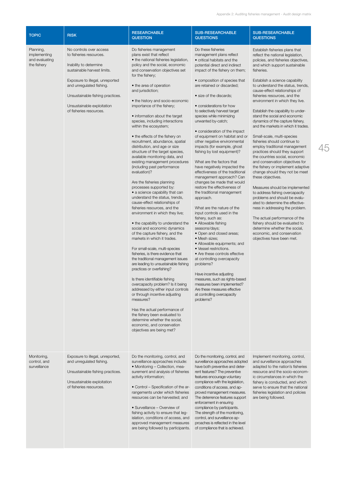| <b>TOPIC</b>                                               | <b>RISK</b>                                                                                                                                                                                                                                                             | <b>RESEARCHABLE</b><br><b>QUESTION</b>                                                                                                                                                                                                                                                                                                                                                                                                                                                                                                                                                                                                                                                                                                                                                                                                                                                                                                                                                                                                                                                                                                                                                                                                                                                                                                                                                                                                                                                                                                                   | <b>SUB-RESEARCHABLE</b><br><b>QUESTIONS</b>                                                                                                                                                                                                                                                                                                                                                                                                                                                                                                                                                                                                                                                                                                                                                                                                                                                                                                                                                                                                                                                                                                                                                                                                           | <b>SUB-RESEARCHABLE</b><br><b>QUESTIONS</b>                                                                                                                                                                                                                                                                                                                                                                                                                                                                                                                                                                                                                                                                                                                                                                                                                                                                                                                                                                                                                                                                                         |
|------------------------------------------------------------|-------------------------------------------------------------------------------------------------------------------------------------------------------------------------------------------------------------------------------------------------------------------------|----------------------------------------------------------------------------------------------------------------------------------------------------------------------------------------------------------------------------------------------------------------------------------------------------------------------------------------------------------------------------------------------------------------------------------------------------------------------------------------------------------------------------------------------------------------------------------------------------------------------------------------------------------------------------------------------------------------------------------------------------------------------------------------------------------------------------------------------------------------------------------------------------------------------------------------------------------------------------------------------------------------------------------------------------------------------------------------------------------------------------------------------------------------------------------------------------------------------------------------------------------------------------------------------------------------------------------------------------------------------------------------------------------------------------------------------------------------------------------------------------------------------------------------------------------|-------------------------------------------------------------------------------------------------------------------------------------------------------------------------------------------------------------------------------------------------------------------------------------------------------------------------------------------------------------------------------------------------------------------------------------------------------------------------------------------------------------------------------------------------------------------------------------------------------------------------------------------------------------------------------------------------------------------------------------------------------------------------------------------------------------------------------------------------------------------------------------------------------------------------------------------------------------------------------------------------------------------------------------------------------------------------------------------------------------------------------------------------------------------------------------------------------------------------------------------------------|-------------------------------------------------------------------------------------------------------------------------------------------------------------------------------------------------------------------------------------------------------------------------------------------------------------------------------------------------------------------------------------------------------------------------------------------------------------------------------------------------------------------------------------------------------------------------------------------------------------------------------------------------------------------------------------------------------------------------------------------------------------------------------------------------------------------------------------------------------------------------------------------------------------------------------------------------------------------------------------------------------------------------------------------------------------------------------------------------------------------------------------|
| Planning,<br>implementing<br>and evaluating<br>the fishery | No controls over access<br>to fisheries resources.<br>Inability to determine<br>sustainable harvest limits.<br>Exposure to illegal, unreported<br>and unregulated fishing.<br>Unsustainable fishing practices.<br>Unsustainable exploitation<br>of fisheries resources. | Do fisheries management<br>plans exist that reflect<br>• the national fisheries legislation,<br>policy and the social, economic<br>and conservation objectives set<br>for the fishery;<br>• the area of operation<br>and jurisdiction;<br>• the history and socio-economic<br>importance of the fishery;<br>• information about the target<br>species, including interactions<br>within the ecosystem;<br>• the effects of the fishery on<br>recruitment, abundance, spatial<br>distribution, and age or size<br>structure of the target species,<br>available monitoring data, and<br>existing management procedures<br>(including past performance<br>evaluation)?<br>Are the fisheries planning<br>processes supported by:<br>• a science capability that can<br>understand the status, trends,<br>cause-effect relationships of<br>fisheries resources, and the<br>environment in which they live;<br>• the capability to understand the<br>social and economic dynamics<br>of the capture fishery, and the<br>markets in which it trades.<br>For small-scale, multi-species<br>fisheries, is there evidence that<br>the traditional management issues<br>are leading to unsustainable fishing<br>practices or overfishing?<br>Is there identifiable fishing<br>overcapacity problem? Is it being<br>addressed by either input controls<br>or through incentive adjusting<br>measures?<br>Has the actual performance of<br>the fishery been evaluated to<br>determine whether the social,<br>economic, and conservation<br>objectives are being met? | Do these fisheries<br>management plans reflect<br>• critical habitats and the<br>potential direct and indirect<br>impact of the fishery on them;<br>• composition of species that<br>are retained or discarded;<br>• size of the discards;<br>• considerations for how<br>to selectively harvest target<br>species while minimizing<br>unwanted by-catch;<br>• consideration of the impact<br>of equipment on habitat and or<br>other negative environmental<br>impacts (for example, ghost<br>fishing by lost equipment)?<br>What are the factors that<br>have negatively impacted the<br>effectiveness of the traditional<br>management approach? Can<br>changes be made that would<br>restore the effectiveness of<br>the traditional management<br>approach.<br>What are the nature of the<br>input controls used in the<br>fishery, such as:<br>• Allowable fishing<br>seasons/days;<br>• Open and closed areas;<br>· Mesh sizes;<br>• Allowable equipments; and<br>• Vessel restrictions.<br>• Are these controls effective<br>at controlling overcapacity<br>problems?<br>Have incentive adjusting<br>measures, such as rights-based<br>measures been implemented?<br>Are these measures effective<br>at controlling overcapacity<br>problems? | Establish fisheries plans that<br>reflect the national legislation,<br>policies, and fisheries objectives,<br>and which support sustainable<br>fisheries.<br>Establish a science capability<br>to understand the status, trends,<br>cause-effect relationships of<br>fisheries resources, and the<br>environment in which they live.<br>Establish the capability to under-<br>stand the social and economic<br>dynamics of the capture fishery,<br>and the markets in which it trades.<br>Small-scale, multi-species<br>fisheries should continue to<br>employ traditional management<br>practices should they support<br>the countries social, economic<br>and conservation objectives for<br>the fishery or implement adaptive<br>change should they not be meet<br>these objectives.<br>Measures should be implemented<br>to address fishing overcapacity<br>problems and should be evalu-<br>ated to determine the effective-<br>ness in addressing the problem.<br>The actual performance of the<br>fishery should be evaluated to<br>determine whether the social,<br>economic, and conservation<br>objectives have been met. |
| Monitoring,<br>control, and<br>surveillance                | Exposure to illegal, unreported,<br>and unregulated fishing.<br>Unsustainable fishing practices.<br>Unsustainable exploitation<br>of fisheries resources.                                                                                                               | Do the monitoring, control, and<br>surveillance approaches include:<br>• Monitoring – Collection, mea-<br>surement and analysis of fisheries<br>activity information;<br>• Control – Specification of the ar-<br>rangements under which fisheries<br>resources can be harvested; and<br>• Surveillance - Overview of<br>fishing activity to ensure that leg-<br>islation, conditions of access, and<br>approved management measures<br>are being followed by participants.                                                                                                                                                                                                                                                                                                                                                                                                                                                                                                                                                                                                                                                                                                                                                                                                                                                                                                                                                                                                                                                                               | Do the monitoring, control, and<br>surveillance approaches adopted<br>have both preventive and deter-<br>rent features? The preventive<br>features encourage voluntary<br>compliance with the legislation,<br>conditions of access, and ap-<br>proved management measures.<br>The deterrence features support<br>enforcement in ensuring<br>compliance by participants.<br>The strength of the monitoring,<br>control, and surveillance ap-<br>proaches is reflected in the level<br>of compliance that is achieved.                                                                                                                                                                                                                                                                                                                                                                                                                                                                                                                                                                                                                                                                                                                                  | Implement monitoring, control,<br>and surveillance approaches<br>adapted to the nation's fisheries<br>resource and the socio-econom-<br>ic circumstances in which the<br>fishery is conducted, and which<br>serve to ensure that the national<br>fisheries legislation and policies<br>are being followed.                                                                                                                                                                                                                                                                                                                                                                                                                                                                                                                                                                                                                                                                                                                                                                                                                          |